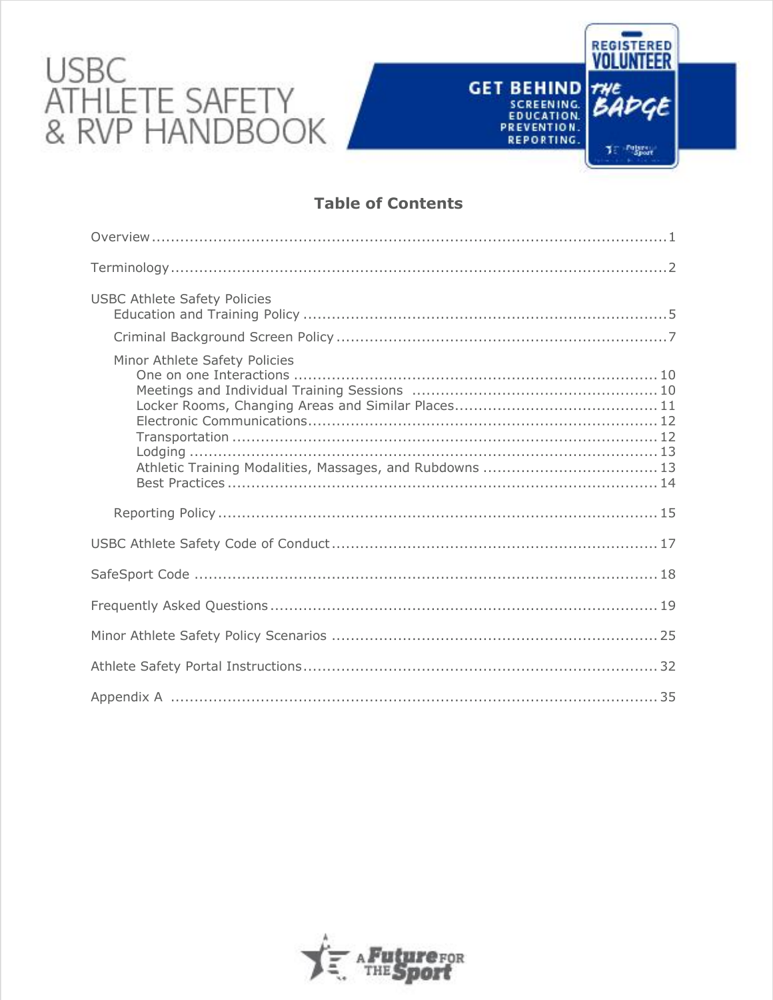# USBC<br>ATHLETE SAFETY<br>& RVP HANDBOOK

# **Table of Contents**

REGISTERED<br>**VOLUNTEER** 

**J. Palares** 

GET BEHIND THE SCREENING BADGE

REPORTING.

| <b>USBC Athlete Safety Policies</b>                                                       |
|-------------------------------------------------------------------------------------------|
|                                                                                           |
| Minor Athlete Safety Policies<br>Athletic Training Modalities, Massages, and Rubdowns  13 |
|                                                                                           |
|                                                                                           |
|                                                                                           |
|                                                                                           |
|                                                                                           |
|                                                                                           |
|                                                                                           |

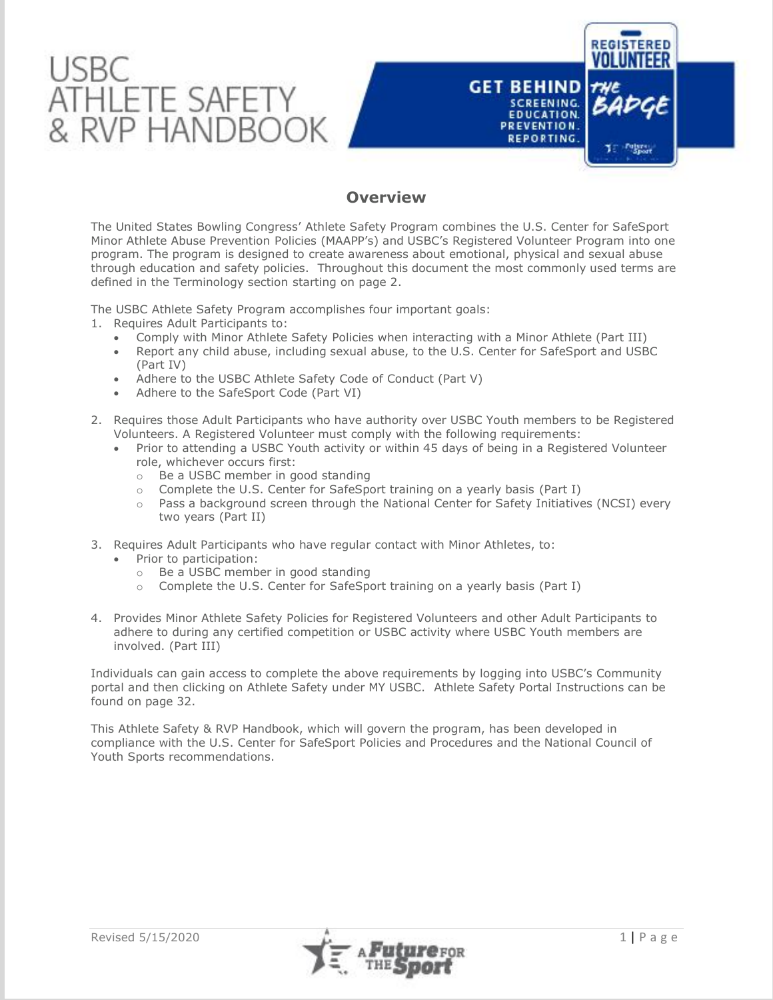

## **Overview**

The United States Bowling Congress' Athlete Safety Program combines the U.S. Center for SafeSport Minor Athlete Abuse Prevention Policies (MAAPP's) and USBC's Registered Volunteer Program into one program. The program is designed to create awareness about emotional, physical and sexual abuse through education and safety policies. Throughout this document the most commonly used terms are defined in the Terminology section starting on page 2.

The USBC Athlete Safety Program accomplishes four important goals:

- 1. Requires Adult Participants to:
	- Comply with Minor Athlete Safety Policies when interacting with a Minor Athlete (Part III)
	- Report any child abuse, including sexual abuse, to the U.S. Center for SafeSport and USBC (Part IV)
	- Adhere to the USBC Athlete Safety Code of Conduct (Part V)
	- Adhere to the SafeSport Code (Part VI)
- 2. Requires those Adult Participants who have authority over USBC Youth members to be Registered Volunteers. A Registered Volunteer must comply with the following requirements:
	- Prior to attending a USBC Youth activity or within 45 days of being in a Registered Volunteer role, whichever occurs first:
		- o Be a USBC member in good standing
		- $\circ$  Complete the U.S. Center for SafeSport training on a yearly basis (Part I)
		- $\circ$  Pass a background screen through the National Center for Safety Initiatives (NCSI) every two years (Part II)
- 3. Requires Adult Participants who have regular contact with Minor Athletes, to:
	- Prior to participation:
		- o Be a USBC member in good standing
	- o Complete the U.S. Center for SafeSport training on a yearly basis (Part I)
- 4. Provides Minor Athlete Safety Policies for Registered Volunteers and other Adult Participants to adhere to during any certified competition or USBC activity where USBC Youth members are involved. (Part III)

Individuals can gain access to complete the above requirements by logging into USBC's Community portal and then clicking on Athlete Safety under MY USBC. Athlete Safety Portal Instructions can be found on page 32.

This Athlete Safety & RVP Handbook, which will govern the program, has been developed in compliance with the U.S. Center for SafeSport Policies and Procedures and the National Council of Youth Sports recommendations.

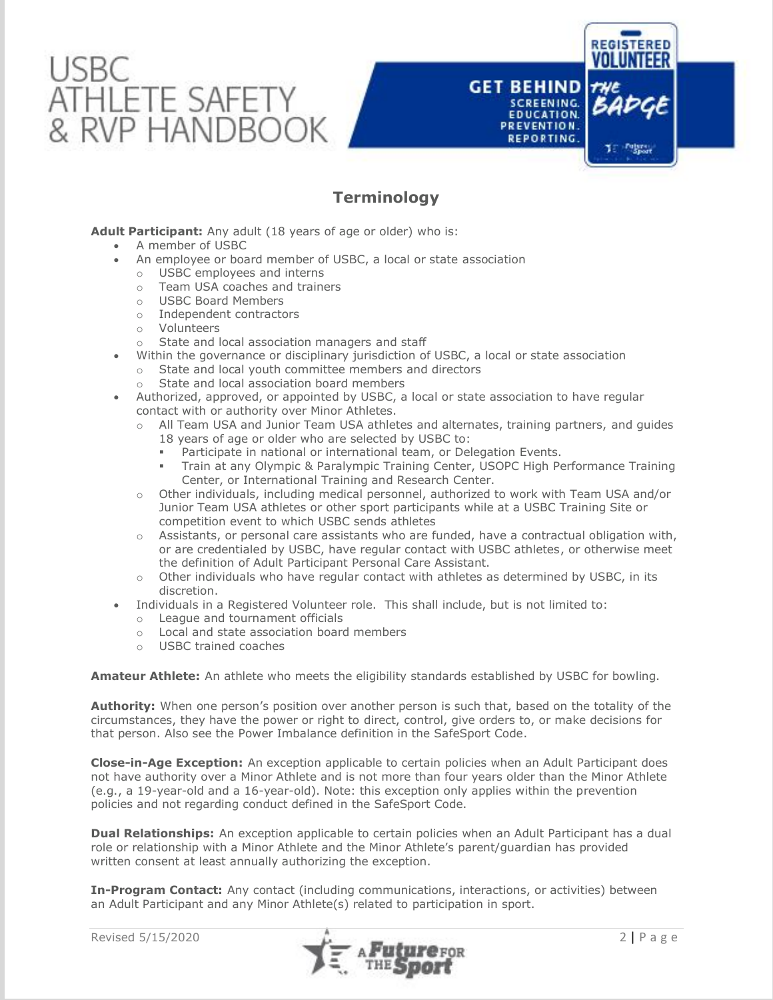

# **Terminology**

## **Adult Participant:** Any adult (18 years of age or older) who is:

- A member of USBC
- An employee or board member of USBC, a local or state association
	- o USBC employees and interns<br>
	o Team USA coaches and trains
	- Team USA coaches and trainers
	- o USBC Board Members
	- o Independent contractors
	- o Volunteers
	- o State and local association managers and staff
- Within the governance or disciplinary jurisdiction of USBC, a local or state association
	- o State and local youth committee members and directors
	- o State and local association board members
- Authorized, approved, or appointed by USBC, a local or state association to have regular contact with or authority over Minor Athletes.
	- o All Team USA and Junior Team USA athletes and alternates, training partners, and guides
		- 18 years of age or older who are selected by USBC to:
		- Participate in national or international team, or Delegation Events.
		- Train at any Olympic & Paralympic Training Center, USOPC High Performance Training Center, or International Training and Research Center.
	- o Other individuals, including medical personnel, authorized to work with Team USA and/or Junior Team USA athletes or other sport participants while at a USBC Training Site or competition event to which USBC sends athletes
	- $\circ$  Assistants, or personal care assistants who are funded, have a contractual obligation with, or are credentialed by USBC, have regular contact with USBC athletes, or otherwise meet the definition of Adult Participant Personal Care Assistant.
	- $\circ$  Other individuals who have regular contact with athletes as determined by USBC, in its discretion.
- Individuals in a Registered Volunteer role. This shall include, but is not limited to:
	- o League and tournament officials<br>
	o Local and state association hoard
	- Local and state association board members
	- o USBC trained coaches

**Amateur Athlete:** An athlete who meets the eligibility standards established by USBC for bowling.

**Authority:** When one person's position over another person is such that, based on the totality of the circumstances, they have the power or right to direct, control, give orders to, or make decisions for that person. Also see the [Power Imbalance definition in the SafeSport Code.](https://uscenterforsafesport.org/response-and-resolution/safesport-code/)

**Close-in-Age Exception:** An exception applicable to certain policies when an Adult Participant does not have authority over a Minor Athlete and is not more than four years older than the Minor Athlete (e.g., a 19-year-old and a 16-year-old). Note: this exception only applies within the prevention policies and not regarding conduct defined in the SafeSport Code.

**Dual Relationships:** An exception applicable to certain policies when an Adult Participant has a dual role or relationship with a Minor Athlete and the Minor Athlete's parent/guardian has provided written consent at least annually authorizing the exception.

**In-Program Contact:** Any contact (including communications, interactions, or activities) between an Adult Participant and any Minor Athlete(s) related to participation in sport.



**REGISTERED** 

Te Pulses

**GET BEHIND** 

**SCREENING.** EDUCATION.

REPORTING.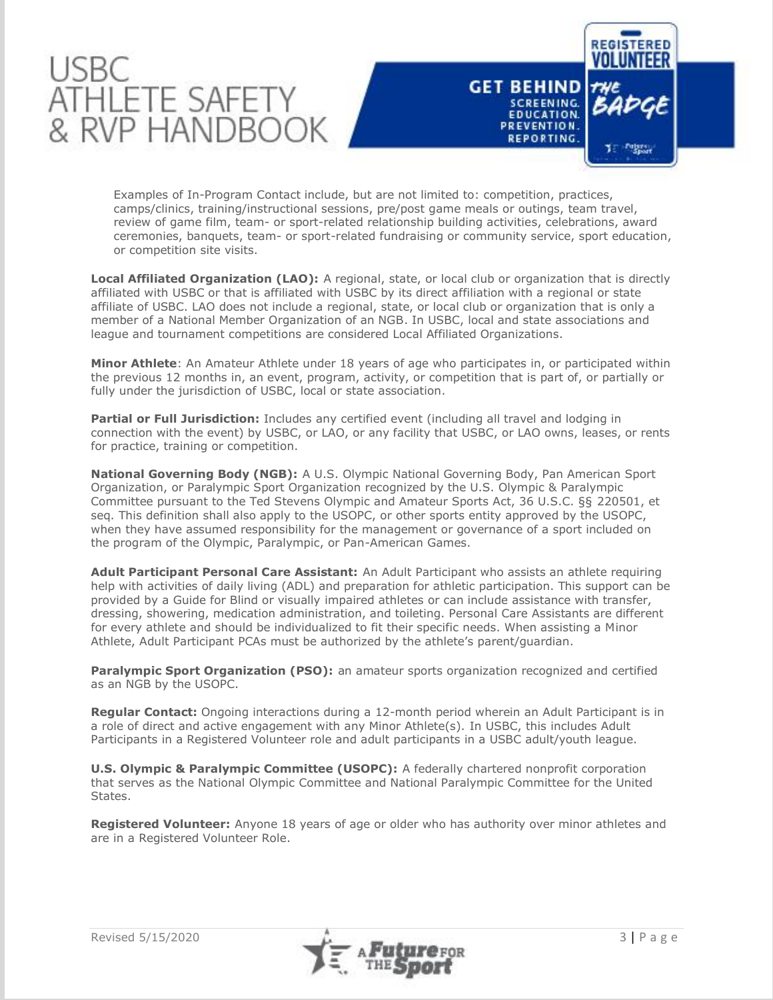



Examples of In-Program Contact include, but are not limited to: competition, practices, camps/clinics, training/instructional sessions, pre/post game meals or outings, team travel, review of game film, team- or sport-related relationship building activities, celebrations, award ceremonies, banquets, team- or sport-related fundraising or community service, sport education, or competition site visits.

**Local Affiliated Organization (LAO):** A regional, state, or local club or organization that is directly affiliated with USBC or that is affiliated with USBC by its direct affiliation with a regional or state affiliate of USBC. LAO does not include a regional, state, or local club or organization that is only a member of a National Member Organization of an NGB. In USBC, local and state associations and league and tournament competitions are considered Local Affiliated Organizations.

**Minor Athlete**: An Amateur Athlete under 18 years of age who participates in, or participated within the previous 12 months in, an event, program, activity, or competition that is part of, or partially or fully under the jurisdiction of USBC, local or state association.

Partial or Full Jurisdiction: Includes any certified event (including all travel and lodging in connection with the event) by USBC, or LAO, or any facility that USBC, or LAO owns, leases, or rents for practice, training or competition.

**National Governing Body (NGB):** A U.S. Olympic National Governing Body, Pan American Sport Organization, or Paralympic Sport Organization recognized by the U.S. Olympic & Paralympic Committee pursuant to the Ted Stevens Olympic and Amateur Sports Act, 36 U.S.C. §§ 220501, et seq. This definition shall also apply to the USOPC, or other sports entity approved by the USOPC, when they have assumed responsibility for the management or governance of a sport included on the program of the Olympic, Paralympic, or Pan-American Games.

**Adult Participant Personal Care Assistant:** An Adult Participant who assists an athlete requiring help with activities of daily living (ADL) and preparation for athletic participation. This support can be provided by a Guide for Blind or visually impaired athletes or can include assistance with transfer, dressing, showering, medication administration, and toileting. Personal Care Assistants are different for every athlete and should be individualized to fit their specific needs. When assisting a Minor Athlete, Adult Participant PCAs must be authorized by the athlete's parent/guardian.

**Paralympic Sport Organization (PSO):** an amateur sports organization recognized and certified as an NGB by the USOPC.

**Regular Contact:** Ongoing interactions during a 12-month period wherein an Adult Participant is in a role of direct and active engagement with any Minor Athlete(s). In USBC, this includes Adult Participants in a Registered Volunteer role and adult participants in a USBC adult/youth league.

**U.S. Olympic & Paralympic Committee (USOPC):** A federally chartered nonprofit corporation that serves as the National Olympic Committee and National Paralympic Committee for the United States.

**Registered Volunteer:** Anyone 18 years of age or older who has authority over minor athletes and are in a Registered Volunteer Role.

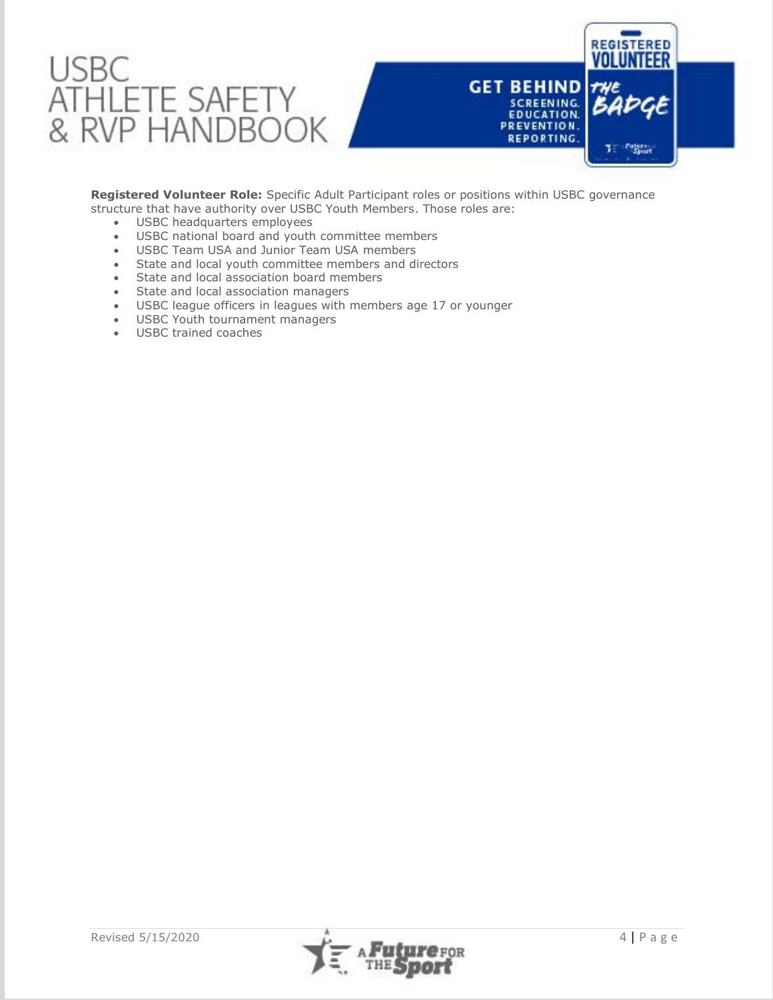

**Registered Volunteer Role:** Specific Adult Participant roles or positions within USBC governance structure that have authority over USBC Youth Members. Those roles are:

- USBC headquarters employees
- USBC national board and youth committee members
- USBC Team USA and Junior Team USA members
- State and local youth committee members and directors
- State and local association board members
- State and local association managers
- USBC league officers in leagues with members age 17 or younger
- USBC Youth tournament managers
- USBC trained coaches

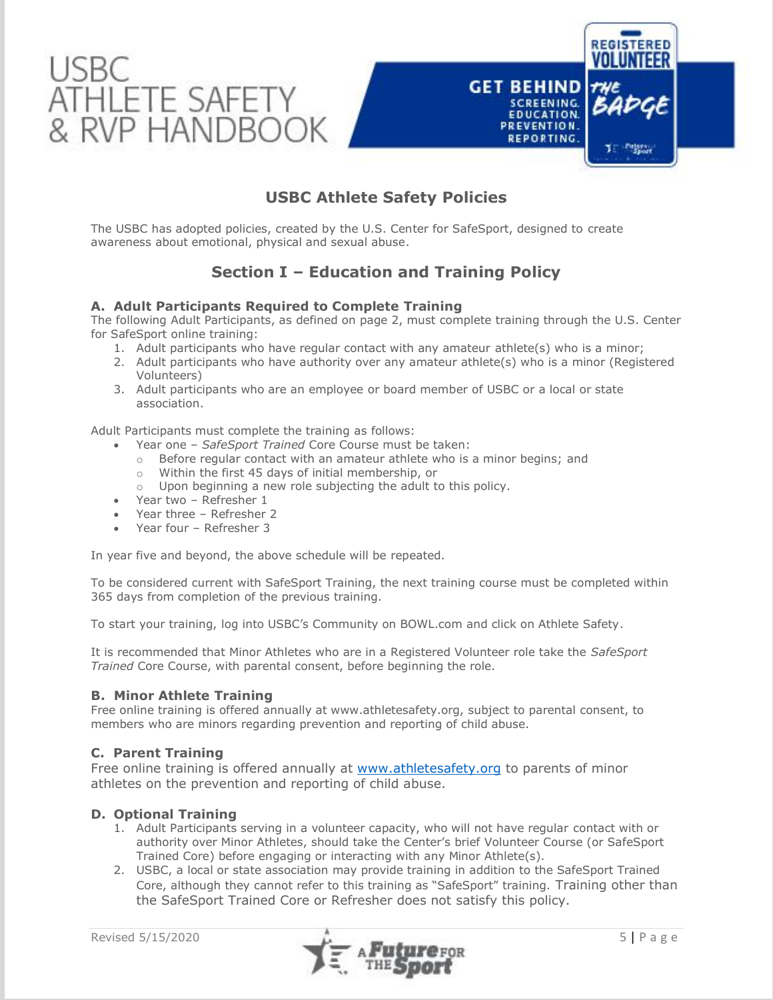

# **USBC Athlete Safety Policies**

The USBC has adopted policies, created by the U.S. Center for SafeSport, designed to create awareness about emotional, physical and sexual abuse.

# **Section I – Education and Training Policy**

## **A. Adult Participants Required to Complete Training**

The following Adult Participants, as defined on page 2, must complete training through the U.S. Center for SafeSport online training:

- 1. Adult participants who have regular contact with any amateur athlete(s) who is a minor;
- 2. Adult participants who have authority over any amateur athlete(s) who is a minor (Registered Volunteers)
- 3. Adult participants who are an employee or board member of USBC or a local or state association.

Adult Participants must complete the training as follows:

- Year one *SafeSport Trained* Core Course must be taken:
	- o Before regular contact with an amateur athlete who is a minor begins; and
	- o Within the first 45 days of initial membership, or
	- o Upon beginning a new role subjecting the adult to this policy.
- Year two Refresher 1
- Year three Refresher 2
- Year four Refresher 3

In year five and beyond, the above schedule will be repeated.

To be considered current with SafeSport Training, the next training course must be completed within 365 days from completion of the previous training.

To start your training, log into USBC's Community on BOWL.com and click on Athlete Safety.

It is recommended that Minor Athletes who are in a Registered Volunteer role take the *SafeSport Trained* Core Course, with parental consent, before beginning the role.

## **B. Minor Athlete Training**

Free online training is offered annually at www.athletesafety.org, subject to parental consent, to members who are minors regarding prevention and reporting of child abuse.

## **C. Parent Training**

Free online training is offered annually at [www.athletesafety.org](http://www.athletesafety.org/) to parents of minor athletes on the prevention and reporting of child abuse.

## **D. Optional Training**

- 1. Adult Participants serving in a volunteer capacity, who will not have regular contact with or authority over Minor Athletes, should take the Center's brief Volunteer Course (or SafeSport Trained Core) before engaging or interacting with any Minor Athlete(s).
- 2. USBC, a local or state association may provide training in addition to the SafeSport Trained Core, although they cannot refer to this training as "SafeSport" training. Training other than the SafeSport Trained Core or Refresher does not satisfy this policy.

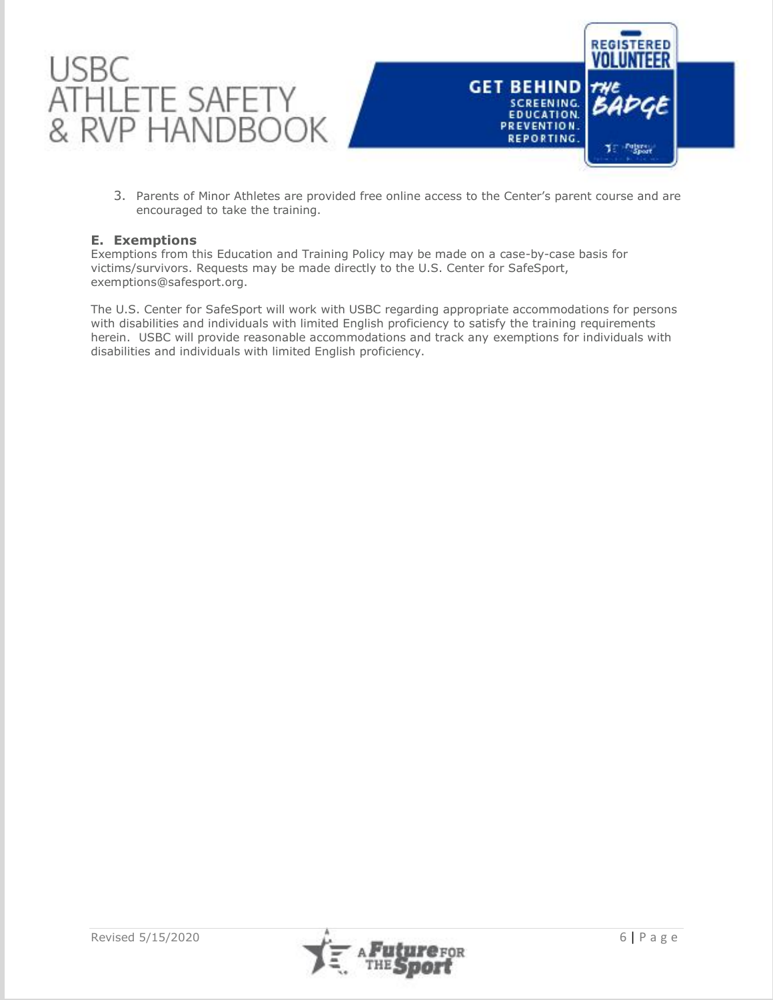

3. Parents of Minor Athletes are provided free online access to the Center's parent course and are encouraged to take the training.

## **E. Exemptions**

Exemptions from this Education and Training Policy may be made on a case-by-case basis for victims/survivors. Requests may be made directly to the U.S. Center for SafeSport, [exemptions@safesport.org.](mailto:training@safesport.org)

The U.S. Center for SafeSport will work with USBC regarding appropriate accommodations for persons with disabilities and individuals with limited English proficiency to satisfy the training requirements herein. USBC will provide reasonable accommodations and track any exemptions for individuals with disabilities and individuals with limited English proficiency.

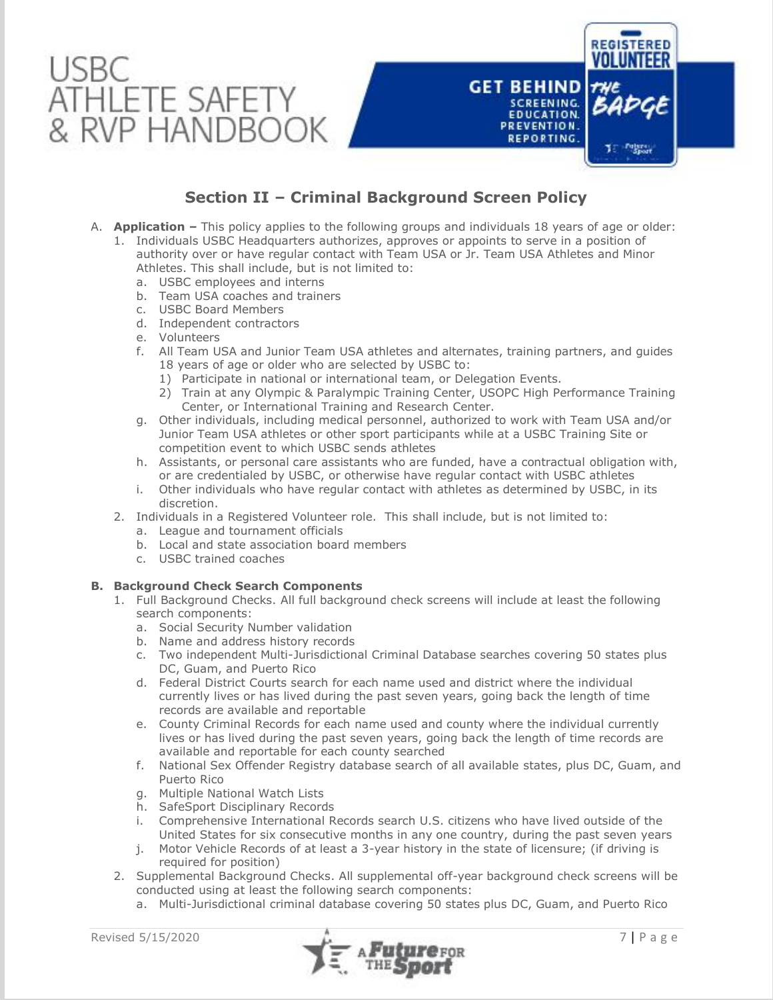

# **Section II – Criminal Background Screen Policy**

- A. **Application –** This policy applies to the following groups and individuals 18 years of age or older:
	- 1. Individuals USBC Headquarters authorizes, approves or appoints to serve in a position of authority over or have regular contact with Team USA or Jr. Team USA Athletes and Minor Athletes. This shall include, but is not limited to:
		- a. USBC employees and interns
		- b. Team USA coaches and trainers
		- c. USBC Board Members
		- d. Independent contractors
		- e. Volunteers
		- f. All Team USA and Junior Team USA athletes and alternates, training partners, and guides 18 years of age or older who are selected by USBC to:
			- 1) Participate in national or international team, or Delegation Events.
			- 2) Train at any Olympic & Paralympic Training Center, USOPC High Performance Training Center, or International Training and Research Center.
		- g. Other individuals, including medical personnel, authorized to work with Team USA and/or Junior Team USA athletes or other sport participants while at a USBC Training Site or competition event to which USBC sends athletes
		- h. Assistants, or personal care assistants who are funded, have a contractual obligation with, or are credentialed by USBC, or otherwise have regular contact with USBC athletes
		- i. Other individuals who have regular contact with athletes as determined by USBC, in its discretion.
	- 2. Individuals in a Registered Volunteer role. This shall include, but is not limited to:
		- a. League and tournament officials
		- b. Local and state association board members
		- c. USBC trained coaches

## **B. Background Check Search Components**

- 1. Full Background Checks. All full background check screens will include at least the following search components:
	- a. Social Security Number validation
	- b. Name and address history records
	- c. Two independent Multi-Jurisdictional Criminal Database searches covering 50 states plus DC, Guam, and Puerto Rico
	- d. Federal District Courts search for each name used and district where the individual currently lives or has lived during the past seven years, going back the length of time records are available and reportable
	- e. County Criminal Records for each name used and county where the individual currently lives or has lived during the past seven years, going back the length of time records are available and reportable for each county searched
	- f. National Sex Offender Registry database search of all available states, plus DC, Guam, and Puerto Rico
	- g. Multiple National Watch Lists
	- h. SafeSport Disciplinary Records
	- i. Comprehensive International Records search U.S. citizens who have lived outside of the United States for six consecutive months in any one country, during the past seven years
	- j. Motor Vehicle Records of at least a 3-year history in the state of licensure; (if driving is required for position)
- 2. Supplemental Background Checks. All supplemental off-year background check screens will be conducted using at least the following search components:
	- a. Multi-Jurisdictional criminal database covering 50 states plus DC, Guam, and Puerto Rico

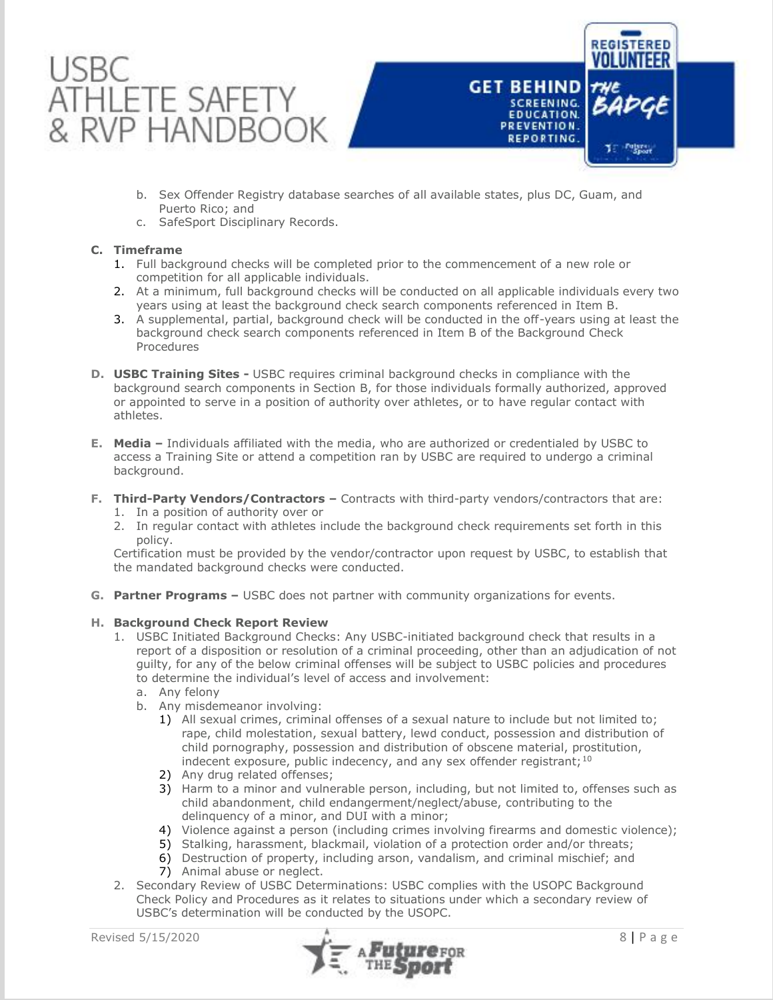

- b. Sex Offender Registry database searches of all available states, plus DC, Guam, and Puerto Rico; and
- c. SafeSport Disciplinary Records.

## **C. Timeframe**

- 1. Full background checks will be completed prior to the commencement of a new role or competition for all applicable individuals.
- 2. At a minimum, full background checks will be conducted on all applicable individuals every two years using at least the background check search components referenced in Item B.
- 3. A supplemental, partial, background check will be conducted in the off-years using at least the background check search components referenced in Item B of the Background Check Procedures
- **D. USBC Training Sites -** USBC requires criminal background checks in compliance with the background search components in Section B, for those individuals formally authorized, approved or appointed to serve in a position of authority over athletes, or to have regular contact with athletes.
- **E. Media –** Individuals affiliated with the media, who are authorized or credentialed by USBC to access a Training Site or attend a competition ran by USBC are required to undergo a criminal background.
- **F. Third-Party Vendors/Contractors –** Contracts with third-party vendors/contractors that are:
	- 1. In a position of authority over or
	- 2. In regular contact with athletes include the background check requirements set forth in this policy.

Certification must be provided by the vendor/contractor upon request by USBC, to establish that the mandated background checks were conducted.

**G. Partner Programs –** USBC does not partner with community organizations for events.

## **H. Background Check Report Review**

- 1. USBC Initiated Background Checks: Any USBC-initiated background check that results in a report of a disposition or resolution of a criminal proceeding, other than an adjudication of not guilty, for any of the below criminal offenses will be subject to USBC policies and procedures to determine the individual's level of access and involvement:
	- a. Any felony
	- b. Any misdemeanor involving:
		- 1) All sexual crimes, criminal offenses of a sexual nature to include but not limited to; rape, child molestation, sexual battery, lewd conduct, possession and distribution of child pornography, possession and distribution of obscene material, prostitution, indecent exposure, public indecency, and any sex offender registrant;  $10$
		- 2) Any drug related offenses;
		- 3) Harm to a minor and vulnerable person, including, but not limited to, offenses such as child abandonment, child endangerment/neglect/abuse, contributing to the delinquency of a minor, and DUI with a minor;
		- 4) Violence against a person (including crimes involving firearms and domestic violence);
		- 5) Stalking, harassment, blackmail, violation of a protection order and/or threats;
		- 6) Destruction of property, including arson, vandalism, and criminal mischief; and
		- 7) Animal abuse or neglect.
- 2. Secondary Review of USBC Determinations: USBC complies with the USOPC Background Check Policy and Procedures as it relates to situations under which a secondary review of USBC's determination will be conducted by the USOPC.



**REGISTERED** 

**GET BEHIND** 

**SCREENING. EDUCATION.** 

PREVENTION. REPORTING.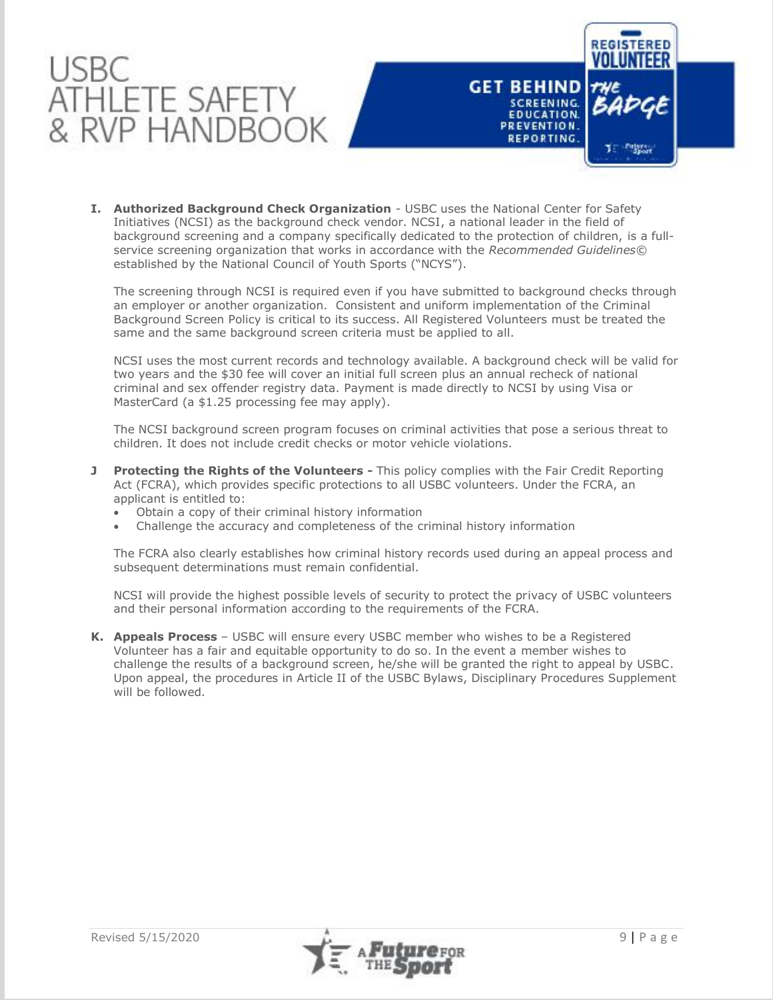



**I. Authorized Background Check Organization** - USBC uses the National Center for Safety Initiatives (NCSI) as the background check vendor. NCSI, a national leader in the field of background screening and a company specifically dedicated to the protection of children, is a fullservice screening organization that works in accordance with the *Recommended Guidelines©*  established by the National Council of Youth Sports ("NCYS").

The screening through NCSI is required even if you have submitted to background checks through an employer or another organization. Consistent and uniform implementation of the Criminal Background Screen Policy is critical to its success. All Registered Volunteers must be treated the same and the same background screen criteria must be applied to all.

NCSI uses the most current records and technology available. A background check will be valid for two years and the \$30 fee will cover an initial full screen plus an annual recheck of national criminal and sex offender registry data. Payment is made directly to NCSI by using Visa or MasterCard (a \$1.25 processing fee may apply).

The NCSI background screen program focuses on criminal activities that pose a serious threat to children. It does not include credit checks or motor vehicle violations.

- **J Protecting the Rights of the Volunteers -** This policy complies with the Fair Credit Reporting Act (FCRA), which provides specific protections to all USBC volunteers. Under the FCRA, an applicant is entitled to:
	- Obtain a copy of their criminal history information
	- Challenge the accuracy and completeness of the criminal history information

The FCRA also clearly establishes how criminal history records used during an appeal process and subsequent determinations must remain confidential.

NCSI will provide the highest possible levels of security to protect the privacy of USBC volunteers and their personal information according to the requirements of the FCRA.

**K. Appeals Process** – USBC will ensure every USBC member who wishes to be a Registered Volunteer has a fair and equitable opportunity to do so. In the event a member wishes to challenge the results of a background screen, he/she will be granted the right to appeal by USBC. Upon appeal, the procedures in Article II of the USBC Bylaws, Disciplinary Procedures Supplement will be followed.

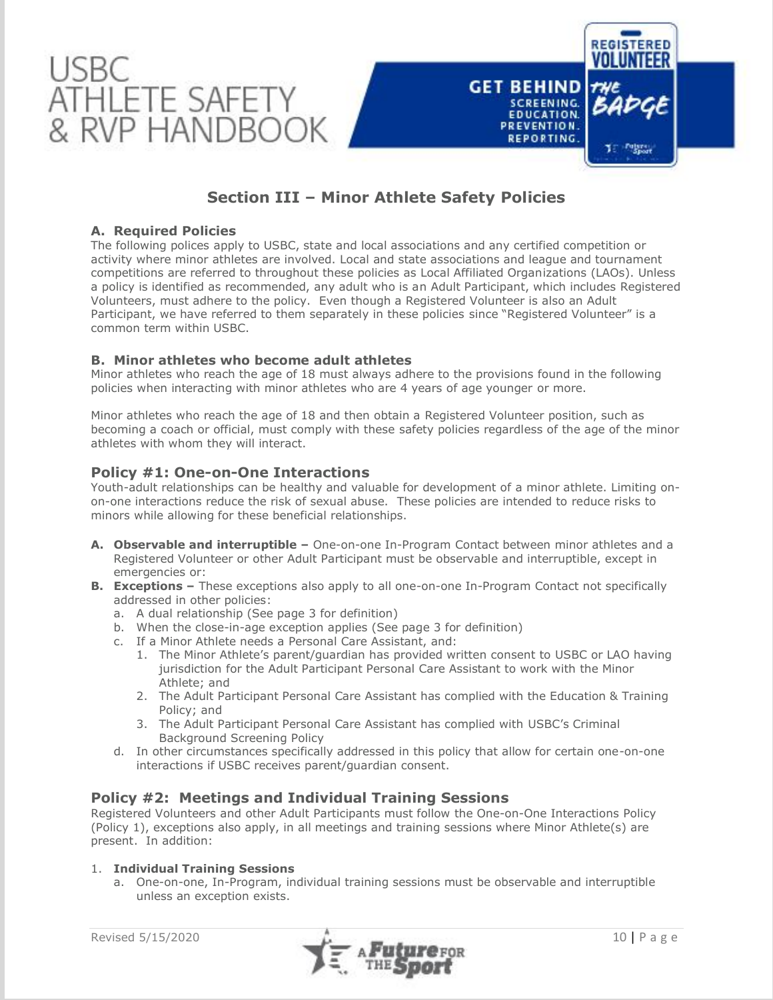

# **Section III – Minor Athlete Safety Policies**

## **A. Required Policies**

The following polices apply to USBC, state and local associations and any certified competition or activity where minor athletes are involved. Local and state associations and league and tournament competitions are referred to throughout these policies as Local Affiliated Organizations (LAOs). Unless a policy is identified as recommended, any adult who is an Adult Participant, which includes Registered Volunteers, must adhere to the policy. Even though a Registered Volunteer is also an Adult Participant, we have referred to them separately in these policies since "Registered Volunteer" is a common term within USBC.

## **B. Minor athletes who become adult athletes**

Minor athletes who reach the age of 18 must always adhere to the provisions found in the following policies when interacting with minor athletes who are 4 years of age younger or more.

Minor athletes who reach the age of 18 and then obtain a Registered Volunteer position, such as becoming a coach or official, must comply with these safety policies regardless of the age of the minor athletes with whom they will interact.

## **Policy #1: One-on-One Interactions**

Youth-adult relationships can be healthy and valuable for development of a minor athlete. Limiting onon-one interactions reduce the risk of sexual abuse. These policies are intended to reduce risks to minors while allowing for these beneficial relationships.

- **A. Observable and interruptible –** One-on-one In-Program Contact between minor athletes and a Registered Volunteer or other Adult Participant must be observable and interruptible, except in emergencies or:
- **B. Exceptions -** These exceptions also apply to all one-on-one In-Program Contact not specifically addressed in other policies:
	- a. A dual relationship (See page 3 for definition)
	- b. When the close-in-age exception applies (See page 3 for definition)
	- c. If a Minor Athlete needs a Personal Care Assistant, and:
		- 1. The Minor Athlete's parent/guardian has provided written consent to USBC or LAO having jurisdiction for the Adult Participant Personal Care Assistant to work with the Minor Athlete; and
		- 2. The Adult Participant Personal Care Assistant has complied with the Education & Training Policy; and
		- 3. The Adult Participant Personal Care Assistant has complied with USBC's Criminal Background Screening Policy
	- d. In other circumstances specifically addressed in this policy that allow for certain one-on-one interactions if USBC receives parent/guardian consent.

## **Policy #2: Meetings and Individual Training Sessions**

Registered Volunteers and other Adult Participants must follow the One-on-One Interactions Policy (Policy 1), exceptions also apply, in all meetings and training sessions where Minor Athlete(s) are present. In addition:

## 1. **Individual Training Sessions**

a. One-on-one, In-Program, individual training sessions must be observable and interruptible unless an exception exists.

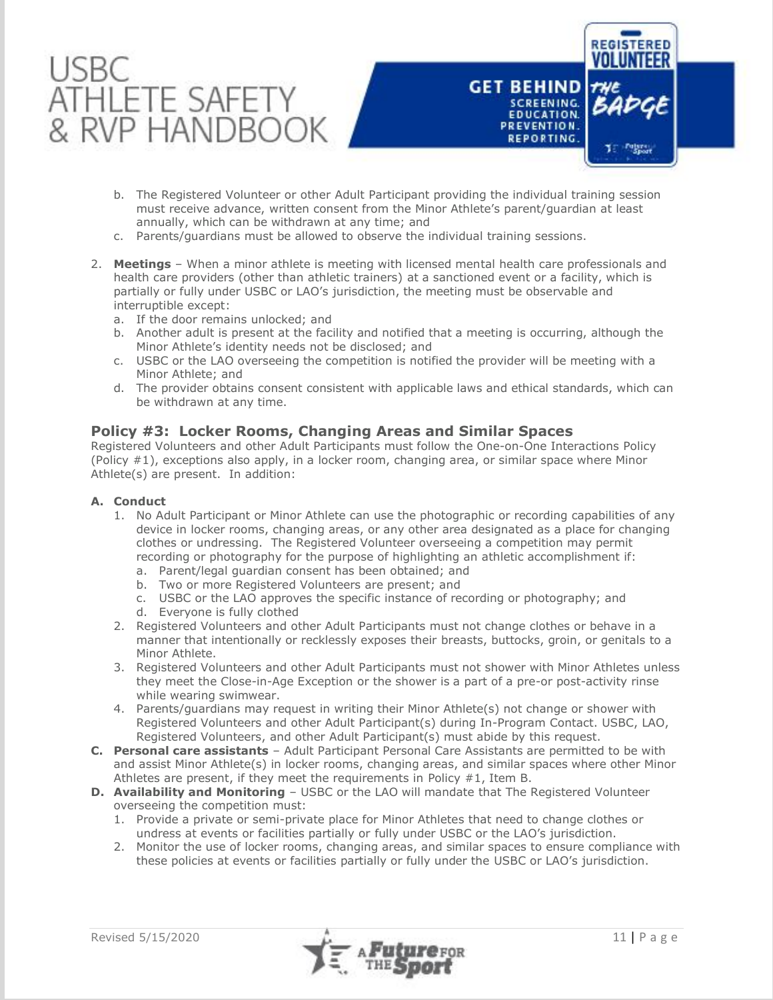



- b. The Registered Volunteer or other Adult Participant providing the individual training session must receive advance, written consent from the Minor Athlete's parent/guardian at least annually, which can be withdrawn at any time; and
- c. Parents/guardians must be allowed to observe the individual training sessions.
- 2. **Meetings** When a minor athlete is meeting with licensed mental health care professionals and health care providers (other than athletic trainers) at a sanctioned event or a facility, which is partially or fully under USBC or LAO's jurisdiction, the meeting must be observable and interruptible except:
	- a. If the door remains unlocked; and
	- b. Another adult is present at the facility and notified that a meeting is occurring, although the Minor Athlete's identity needs not be disclosed; and
	- c. USBC or the LAO overseeing the competition is notified the provider will be meeting with a Minor Athlete; and
	- d. The provider obtains consent consistent with applicable laws and ethical standards, which can be withdrawn at any time.

## **Policy #3: Locker Rooms, Changing Areas and Similar Spaces**

Registered Volunteers and other Adult Participants must follow the One-on-One Interactions Policy (Policy #1), exceptions also apply, in a locker room, changing area, or similar space where Minor Athlete(s) are present. In addition:

## **A. Conduct**

- 1. No Adult Participant or Minor Athlete can use the photographic or recording capabilities of any device in locker rooms, changing areas, or any other area designated as a place for changing clothes or undressing. The Registered Volunteer overseeing a competition may permit recording or photography for the purpose of highlighting an athletic accomplishment if:
	- a. Parent/legal guardian consent has been obtained; and
	- b. Two or more Registered Volunteers are present; and
	- c. USBC or the LAO approves the specific instance of recording or photography; and
	- d. Everyone is fully clothed
- 2. Registered Volunteers and other Adult Participants must not change clothes or behave in a manner that intentionally or recklessly exposes their breasts, buttocks, groin, or genitals to a Minor Athlete.
- 3. Registered Volunteers and other Adult Participants must not shower with Minor Athletes unless they meet the Close-in-Age Exception or the shower is a part of a pre-or post-activity rinse while wearing swimwear.
- 4. Parents/guardians may request in writing their Minor Athlete(s) not change or shower with Registered Volunteers and other Adult Participant(s) during In-Program Contact. USBC, LAO, Registered Volunteers, and other Adult Participant(s) must abide by this request.
- **C. Personal care assistants** Adult Participant Personal Care Assistants are permitted to be with and assist Minor Athlete(s) in locker rooms, changing areas, and similar spaces where other Minor Athletes are present, if they meet the requirements in Policy #1, Item B.
- **D. Availability and Monitoring** USBC or the LAO will mandate that The Registered Volunteer overseeing the competition must:
	- 1. Provide a private or semi-private place for Minor Athletes that need to change clothes or undress at events or facilities partially or fully under USBC or the LAO's jurisdiction.
	- 2. Monitor the use of locker rooms, changing areas, and similar spaces to ensure compliance with these policies at events or facilities partially or fully under the USBC or LAO's jurisdiction.

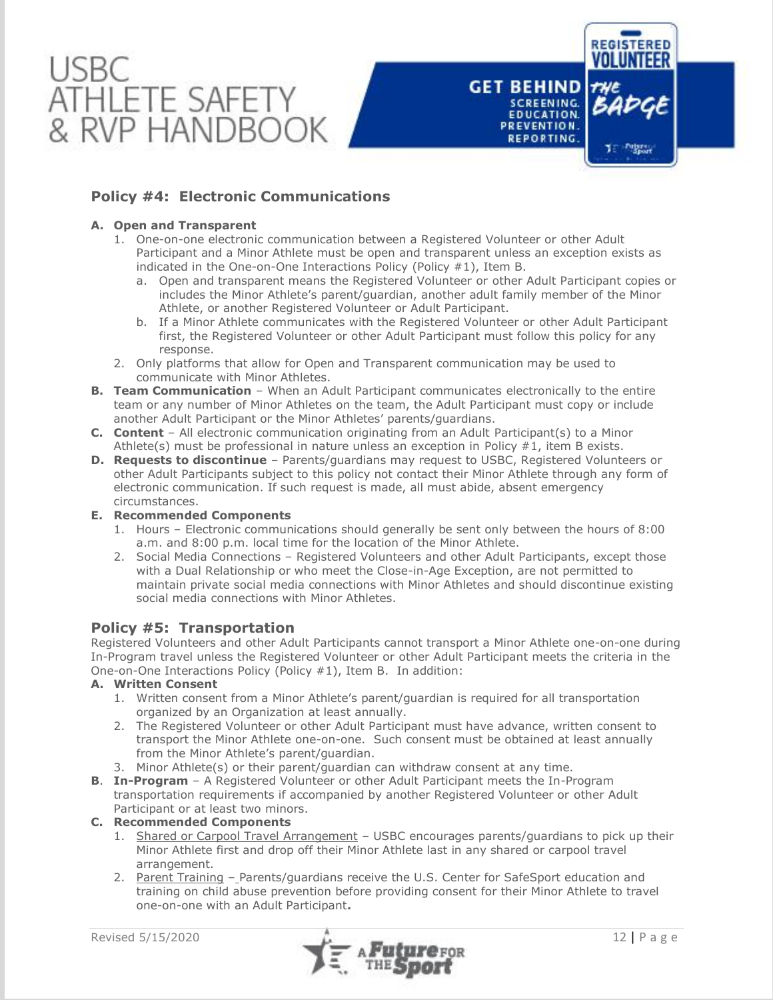



## **A. Open and Transparent**

- 1. One-on-one electronic communication between a Registered Volunteer or other Adult Participant and a Minor Athlete must be open and transparent unless an exception exists as indicated in the One-on-One Interactions Policy (Policy #1), Item B.
	- a. Open and transparent means the Registered Volunteer or other Adult Participant copies or includes the Minor Athlete's parent/guardian, another adult family member of the Minor Athlete, or another Registered Volunteer or Adult Participant.
	- b. If a Minor Athlete communicates with the Registered Volunteer or other Adult Participant first, the Registered Volunteer or other Adult Participant must follow this policy for any response.
- 2. Only platforms that allow for Open and Transparent communication may be used to communicate with Minor Athletes.
- **B. Team Communication** When an Adult Participant communicates electronically to the entire team or any number of Minor Athletes on the team, the Adult Participant must copy or include another Adult Participant or the Minor Athletes' parents/guardians.
- **C. Content** All electronic communication originating from an Adult Participant(s) to a Minor Athlete(s) must be professional in nature unless an exception in Policy  $#1$ , item B exists.
- **D. Requests to discontinue** Parents/guardians may request to USBC, Registered Volunteers or other Adult Participants subject to this policy not contact their Minor Athlete through any form of electronic communication. If such request is made, all must abide, absent emergency circumstances.

## **E. Recommended Components**

- 1. Hours Electronic communications should generally be sent only between the hours of 8:00 a.m. and 8:00 p.m. local time for the location of the Minor Athlete.
- 2. Social Media Connections Registered Volunteers and other Adult Participants, except those with a Dual Relationship or who meet the Close-in-Age Exception, are not permitted to maintain private social media connections with Minor Athletes and should discontinue existing social media connections with Minor Athletes.

## **Policy #5: Transportation**

Registered Volunteers and other Adult Participants cannot transport a Minor Athlete one-on-one during In-Program travel unless the Registered Volunteer or other Adult Participant meets the criteria in the One-on-One Interactions Policy (Policy #1), Item B. In addition:

## **A. Written Consent**

- 1. Written consent from a Minor Athlete's parent/guardian is required for all transportation organized by an Organization at least annually.
- 2. The Registered Volunteer or other Adult Participant must have advance, written consent to transport the Minor Athlete one-on-one. Such consent must be obtained at least annually from the Minor Athlete's parent/guardian.
- 3. Minor Athlete(s) or their parent/guardian can withdraw consent at any time.
- **B**. **In-Program** A Registered Volunteer or other Adult Participant meets the In-Program transportation requirements if accompanied by another Registered Volunteer or other Adult Participant or at least two minors.

## **C. Recommended Components**

- 1. Shared or Carpool Travel Arrangement USBC encourages parents/guardians to pick up their Minor Athlete first and drop off their Minor Athlete last in any shared or carpool travel arrangement.
- 2. Parent Training Parents/guardians receive the U.S. Center for SafeSport education and training on child abuse prevention before providing consent for their Minor Athlete to travel one-on-one with an Adult Participant**.**



**REGISTERED** 

**GET BEHIND** 

**SCREENING. EDUCATION.** 

PREVENTION. REPORTING.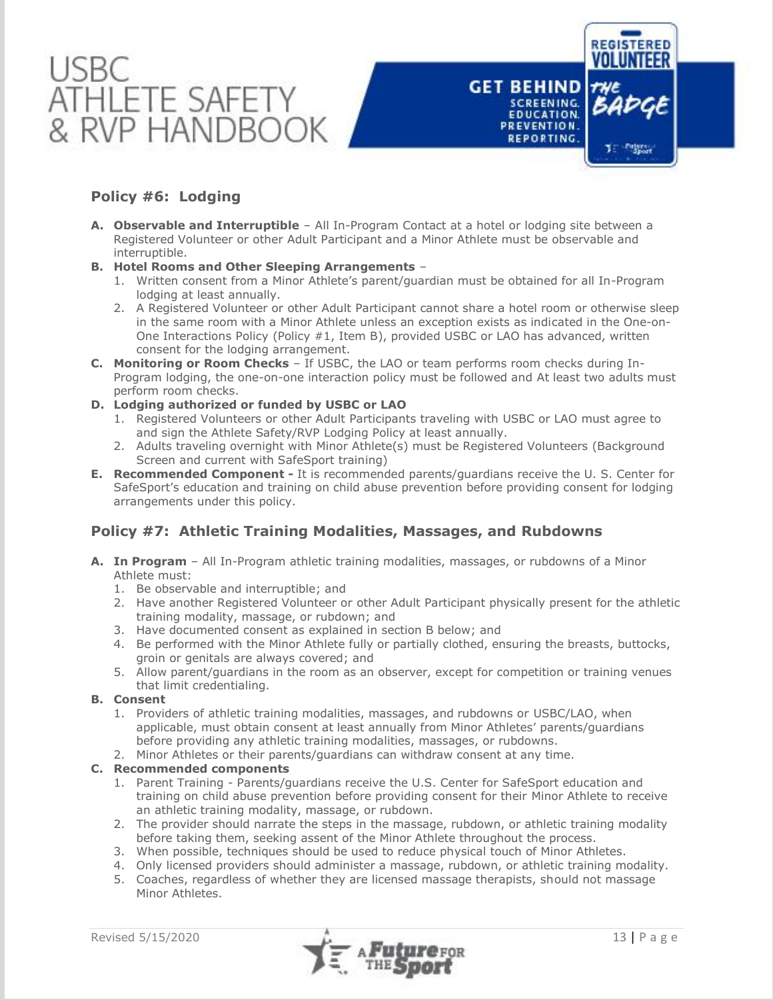



## **Policy #6: Lodging**

- **A. Observable and Interruptible** All In-Program Contact at a hotel or lodging site between a Registered Volunteer or other Adult Participant and a Minor Athlete must be observable and interruptible.
- **B. Hotel Rooms and Other Sleeping Arrangements**
	- 1. Written consent from a Minor Athlete's parent/guardian must be obtained for all In-Program lodging at least annually.
	- 2. A Registered Volunteer or other Adult Participant cannot share a hotel room or otherwise sleep in the same room with a Minor Athlete unless an exception exists as indicated in the One-on-One Interactions Policy (Policy #1, Item B), provided USBC or LAO has advanced, written consent for the lodging arrangement.
- **C. Monitoring or Room Checks** If USBC, the LAO or team performs room checks during In-Program lodging, the one-on-one interaction policy must be followed and At least two adults must perform room checks.
- **D. Lodging authorized or funded by USBC or LAO**
	- 1. Registered Volunteers or other Adult Participants traveling with USBC or LAO must agree to and sign the Athlete Safety/RVP Lodging Policy at least annually.
	- 2. Adults traveling overnight with Minor Athlete(s) must be Registered Volunteers (Background Screen and current with SafeSport training)
- **E. Recommended Component -** It is recommended parents/guardians receive the U. S. Center for SafeSport's education and training on child abuse prevention before providing consent for lodging arrangements under this policy.

## **Policy #7: Athletic Training Modalities, Massages, and Rubdowns**

- **A. In Program** All In-Program athletic training modalities, massages, or rubdowns of a Minor Athlete must:
	- 1. Be observable and interruptible; and
	- 2. Have another Registered Volunteer or other Adult Participant physically present for the athletic training modality, massage, or rubdown; and
	- 3. Have documented consent as explained in section B below; and
	- 4. Be performed with the Minor Athlete fully or partially clothed, ensuring the breasts, buttocks, groin or genitals are always covered; and
	- 5. Allow parent/guardians in the room as an observer, except for competition or training venues that limit credentialing.

## **B. Consent**

- 1. Providers of athletic training modalities, massages, and rubdowns or USBC/LAO, when applicable, must obtain consent at least annually from Minor Athletes' parents/guardians before providing any athletic training modalities, massages, or rubdowns.
- 2. Minor Athletes or their parents/guardians can withdraw consent at any time.

## **C. Recommended components**

- 1. Parent Training Parents/guardians receive the U.S. Center for SafeSport education and training on child abuse prevention before providing consent for their Minor Athlete to receive an athletic training modality, massage, or rubdown.
- 2. The provider should narrate the steps in the massage, rubdown, or athletic training modality before taking them, seeking assent of the Minor Athlete throughout the process.
- 3. When possible, techniques should be used to reduce physical touch of Minor Athletes.
- 4. Only licensed providers should administer a massage, rubdown, or athletic training modality.
- 5. Coaches, regardless of whether they are licensed massage therapists, should not massage Minor Athletes.

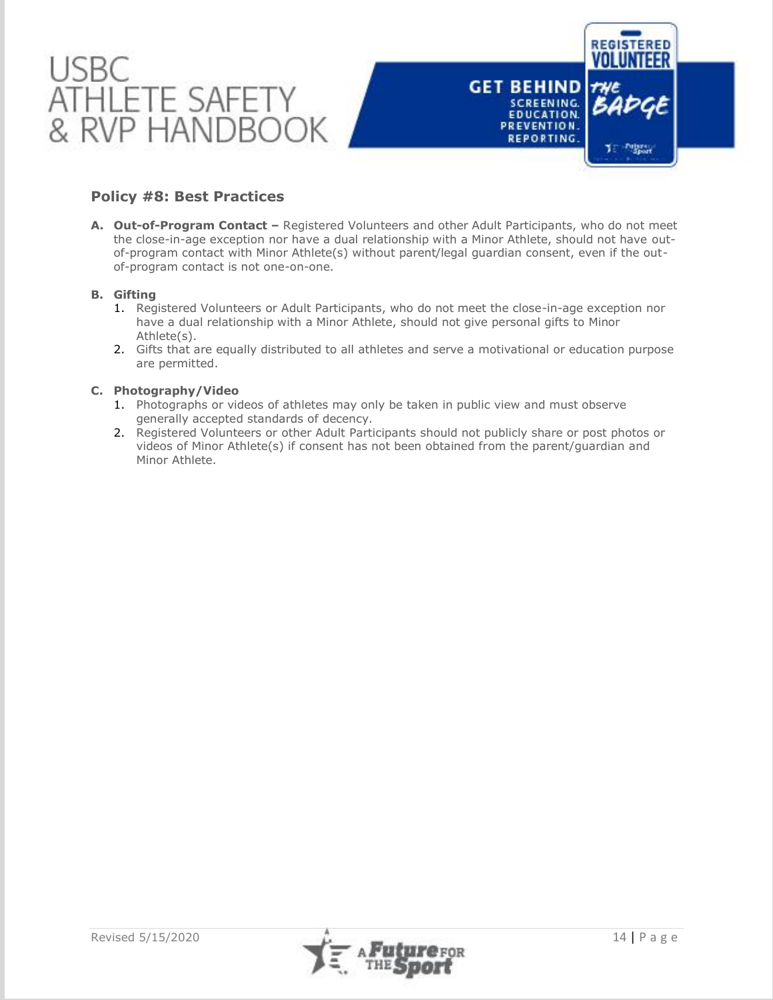

## **Policy #8: Best Practices**

**A. Out-of-Program Contact –** Registered Volunteers and other Adult Participants, who do not meet the close-in-age exception nor have a dual relationship with a Minor Athlete, should not have outof-program contact with Minor Athlete(s) without parent/legal guardian consent, even if the outof-program contact is not one-on-one.

## **B. Gifting**

- 1. Registered Volunteers or Adult Participants, who do not meet the close-in-age exception nor have a dual relationship with a Minor Athlete, should not give personal gifts to Minor Athlete(s).
- 2. Gifts that are equally distributed to all athletes and serve a motivational or education purpose are permitted.

## **C. Photography/Video**

- 1. Photographs or videos of athletes may only be taken in public view and must observe generally accepted standards of decency.
- 2. Registered Volunteers or other Adult Participants should not publicly share or post photos or videos of Minor Athlete(s) if consent has not been obtained from the parent/guardian and Minor Athlete.

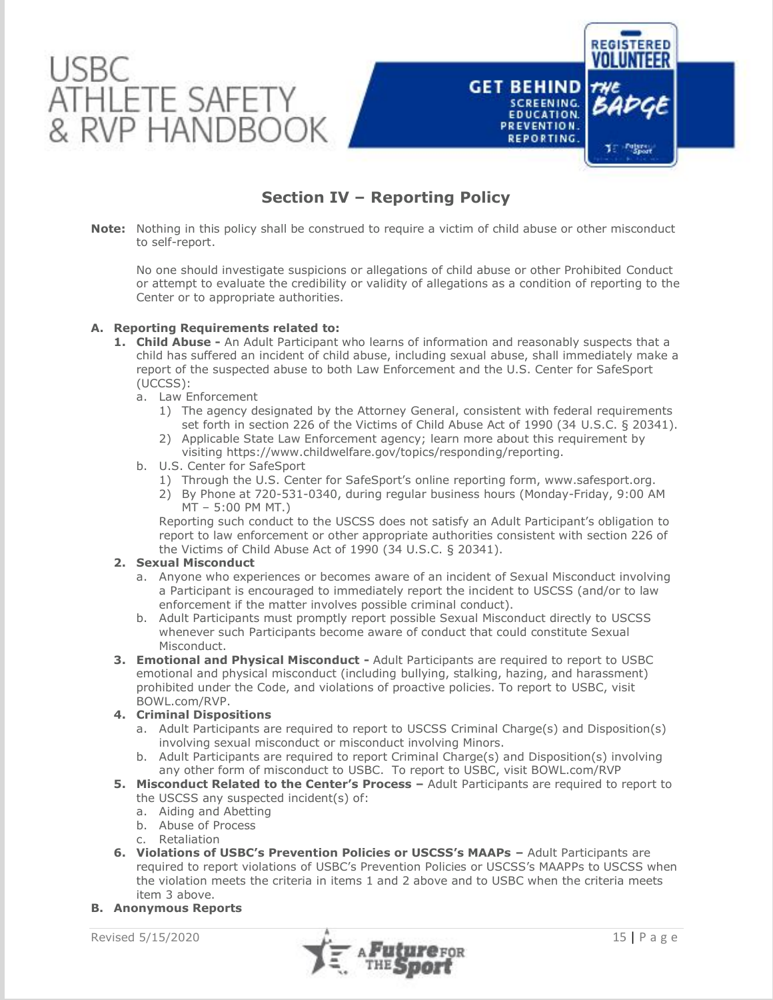

# **Section IV – Reporting Policy**

**Note:** Nothing in this policy shall be construed to require a victim of child abuse or other misconduct to self-report.

No one should investigate suspicions or allegations of child abuse or other Prohibited Conduct or attempt to evaluate the credibility or validity of allegations as a condition of reporting to the Center or to appropriate authorities.

## **A. Reporting Requirements related to:**

- **1. Child Abuse -** An Adult Participant who learns of information and reasonably suspects that a child has suffered an incident of child abuse, including sexual abuse, shall immediately make a report of the suspected abuse to both Law Enforcement and the U.S. Center for SafeSport (UCCSS):
	- a. Law Enforcement
		- 1) The agency designated by the Attorney General, consistent with federal requirements set forth in section 226 of the Victims of Child Abuse Act of 1990 (34 U.S.C. § 20341).
		- 2) Applicable State Law Enforcement agency; learn more about this requirement by visiting https://www.childwelfare.gov/topics/responding/reporting.
	- b. U.S. Center for SafeSport
		- 1) Through the U.S. Center for SafeSport's online reporting form, www.safesport.org.
		- 2) By Phone at 720-531-0340, during regular business hours (Monday-Friday, 9:00 AM MT – 5:00 PM MT.)

Reporting such conduct to the USCSS does not satisfy an Adult Participant's obligation to report to law enforcement or other appropriate authorities consistent with section 226 of the Victims of Child Abuse Act of 1990 (34 U.S.C. § 20341).

## **2. Sexual Misconduct**

- a. Anyone who experiences or becomes aware of an incident of Sexual Misconduct involving a Participant is encouraged to immediately report the incident to USCSS (and/or to law enforcement if the matter involves possible criminal conduct).
- b. Adult Participants must promptly report possible Sexual Misconduct directly to USCSS whenever such Participants become aware of conduct that could constitute Sexual Misconduct.
- **3. Emotional and Physical Misconduct -** Adult Participants are required to report to USBC emotional and physical misconduct (including bullying, stalking, hazing, and harassment) prohibited under the Code, and violations of proactive policies. To report to USBC, visit BOWL.com/RVP.

## **4. Criminal Dispositions**

- a. Adult Participants are required to report to USCSS Criminal Charge(s) and Disposition(s) involving sexual misconduct or misconduct involving Minors.
- b. Adult Participants are required to report Criminal Charge(s) and Disposition(s) involving any other form of misconduct to USBC. To report to USBC, visit BOWL.com/RVP
- **5. Misconduct Related to the Center's Process –** Adult Participants are required to report to the USCSS any suspected incident(s) of:
	- a. Aiding and Abetting
	- b. Abuse of Process
	- c. Retaliation
- **6. Violations of USBC's Prevention Policies or USCSS's MAAPs –** Adult Participants are required to report violations of USBC's Prevention Policies or USCSS's MAAPPs to USCSS when the violation meets the criteria in items 1 and 2 above and to USBC when the criteria meets item 3 above.

## **B. Anonymous Reports**

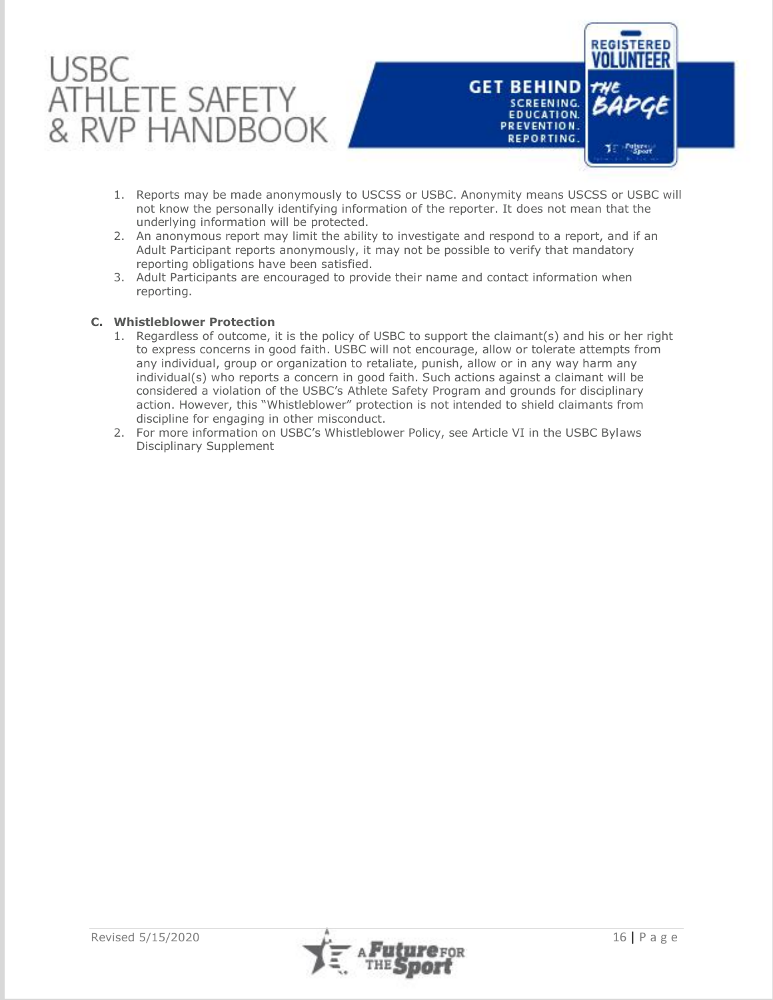

- 1. Reports may be made anonymously to USCSS or USBC. Anonymity means USCSS or USBC will not know the personally identifying information of the reporter. It does not mean that the underlying information will be protected.
- 2. An anonymous report may limit the ability to investigate and respond to a report, and if an Adult Participant reports anonymously, it may not be possible to verify that mandatory reporting obligations have been satisfied.
- 3. Adult Participants are encouraged to provide their name and contact information when reporting.

## **C. Whistleblower Protection**

- 1. Regardless of outcome, it is the policy of USBC to support the claimant(s) and his or her right to express concerns in good faith. USBC will not encourage, allow or tolerate attempts from any individual, group or organization to retaliate, punish, allow or in any way harm any individual(s) who reports a concern in good faith. Such actions against a claimant will be considered a violation of the USBC's Athlete Safety Program and grounds for disciplinary action. However, this "Whistleblower" protection is not intended to shield claimants from discipline for engaging in other misconduct.
- 2. For more information on USBC's Whistleblower Policy, see Article VI in the USBC Bylaws Disciplinary Supplement

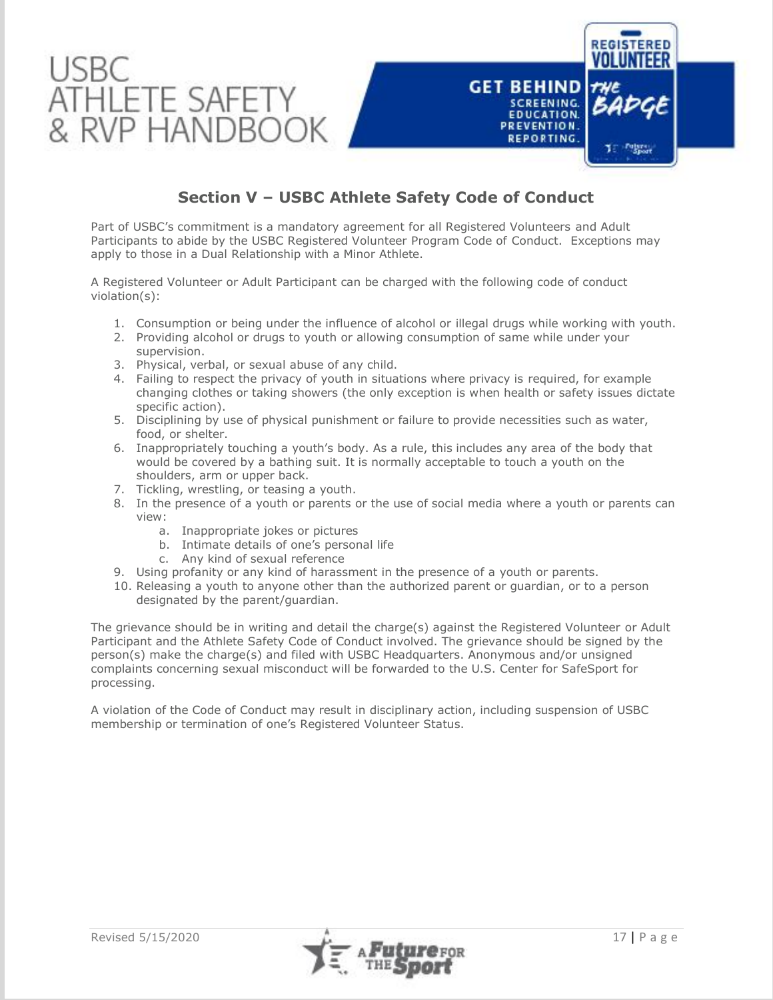

# **Section V – USBC Athlete Safety Code of Conduct**

Part of USBC's commitment is a mandatory agreement for all Registered Volunteers and Adult Participants to abide by the USBC Registered Volunteer Program Code of Conduct. Exceptions may apply to those in a Dual Relationship with a Minor Athlete.

A Registered Volunteer or Adult Participant can be charged with the following code of conduct violation(s):

- 1. Consumption or being under the influence of alcohol or illegal drugs while working with youth.
- 2. Providing alcohol or drugs to youth or allowing consumption of same while under your supervision.
- 3. Physical, verbal, or sexual abuse of any child.
- 4. Failing to respect the privacy of youth in situations where privacy is required, for example changing clothes or taking showers (the only exception is when health or safety issues dictate specific action).
- 5. Disciplining by use of physical punishment or failure to provide necessities such as water, food, or shelter.
- 6. Inappropriately touching a youth's body. As a rule, this includes any area of the body that would be covered by a bathing suit. It is normally acceptable to touch a youth on the shoulders, arm or upper back.
- 7. Tickling, wrestling, or teasing a youth.
- 8. In the presence of a youth or parents or the use of social media where a youth or parents can view:
	- a. Inappropriate jokes or pictures
	- b. Intimate details of one's personal life
	- c. Any kind of sexual reference
- 9. Using profanity or any kind of harassment in the presence of a youth or parents.
- 10. Releasing a youth to anyone other than the authorized parent or guardian, or to a person designated by the parent/guardian.

The grievance should be in writing and detail the charge(s) against the Registered Volunteer or Adult Participant and the Athlete Safety Code of Conduct involved. The grievance should be signed by the person(s) make the charge(s) and filed with USBC Headquarters. Anonymous and/or unsigned complaints concerning sexual misconduct will be forwarded to the U.S. Center for SafeSport for processing.

A violation of the Code of Conduct may result in disciplinary action, including suspension of USBC membership or termination of one's Registered Volunteer Status.

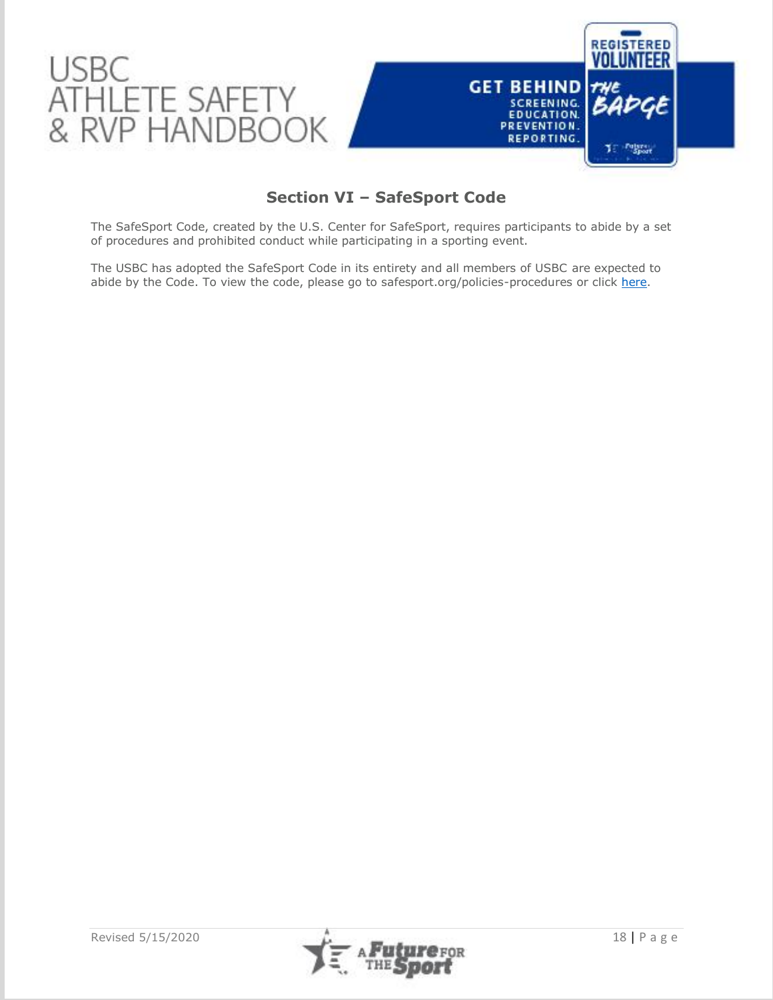

# **Section VI – SafeSport Code**

The SafeSport Code, created by the U.S. Center for SafeSport, requires participants to abide by a set of procedures and prohibited conduct while participating in a sporting event.

The USBC has adopted the SafeSport Code in its entirety and all members of USBC are expected to abide by the Code. To view the code, please go to safesport.org/policies-procedures or click [here.](https://safesport.org/policies-procedures)

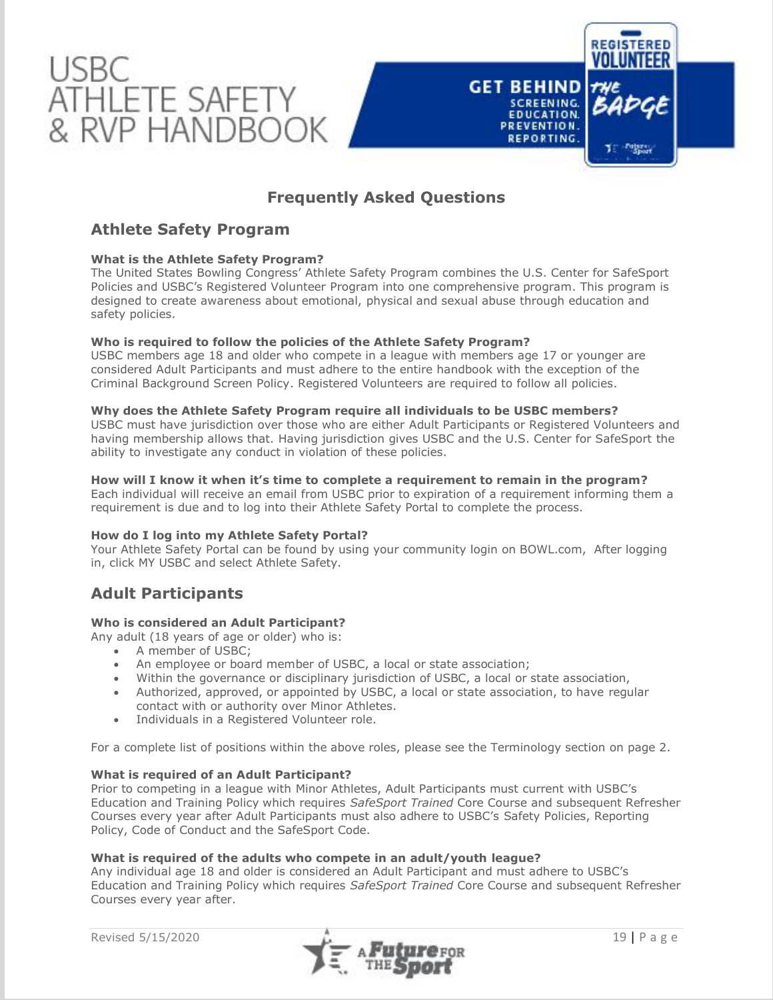



## **Athlete Safety Program**

## **What is the Athlete Safety Program?**

The United States Bowling Congress' Athlete Safety Program combines the U.S. Center for SafeSport Policies and USBC's Registered Volunteer Program into one comprehensive program. This program is designed to create awareness about emotional, physical and sexual abuse through education and safety policies.

## **Who is required to follow the policies of the Athlete Safety Program?**

USBC members age 18 and older who compete in a league with members age 17 or younger are considered Adult Participants and must adhere to the entire handbook with the exception of the Criminal Background Screen Policy. Registered Volunteers are required to follow all policies.

## **Why does the Athlete Safety Program require all individuals to be USBC members?**

USBC must have jurisdiction over those who are either Adult Participants or Registered Volunteers and having membership allows that. Having jurisdiction gives USBC and the U.S. Center for SafeSport the ability to investigate any conduct in violation of these policies.

## **How will I know it when it's time to complete a requirement to remain in the program?**

Each individual will receive an email from USBC prior to expiration of a requirement informing them a requirement is due and to log into their Athlete Safety Portal to complete the process.

## **How do I log into my Athlete Safety Portal?**

Your Athlete Safety Portal can be found by using your community login on BOWL.com, After logging in, click MY USBC and select Athlete Safety.

## **Adult Participants**

## **Who is considered an Adult Participant?**

Any adult (18 years of age or older) who is:

- A member of USBC;
- An employee or board member of USBC, a local or state association;
- Within the governance or disciplinary jurisdiction of USBC, a local or state association,
- Authorized, approved, or appointed by USBC, a local or state association, to have regular contact with or authority over Minor Athletes.
- Individuals in a Registered Volunteer role.

For a complete list of positions within the above roles, please see the Terminology section on page 2.

## **What is required of an Adult Participant?**

Prior to competing in a league with Minor Athletes, Adult Participants must current with USBC's Education and Training Policy which requires *SafeSport Trained* Core Course and subsequent Refresher Courses every year after Adult Participants must also adhere to USBC's Safety Policies, Reporting Policy, Code of Conduct and the SafeSport Code.

## **What is required of the adults who compete in an adult/youth league?**

Any individual age 18 and older is considered an Adult Participant and must adhere to USBC's Education and Training Policy which requires *SafeSport Trained* Core Course and subsequent Refresher Courses every year after.



**REGISTERED** 

T Future

**GET BEHIND** 

**SCREENING. EDUCATION.** 

PREVENTION. REPORTING.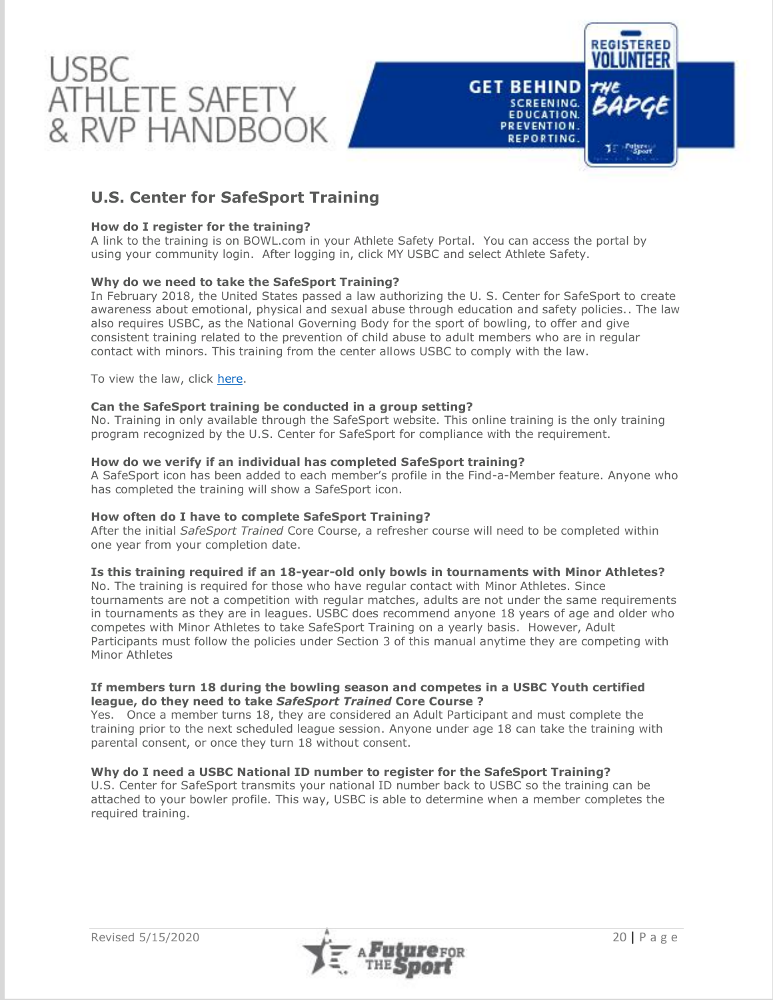

# **U.S. Center for SafeSport Training**

## **How do I register for the training?**

A link to the training is on BOWL.com in your Athlete Safety Portal. You can access the portal by using your community login. After logging in, click MY USBC and select Athlete Safety.

## **Why do we need to take the SafeSport Training?**

In February 2018, the United States passed a law authorizing the U. S. Center for SafeSport to create awareness about emotional, physical and sexual abuse through education and safety policies.. The law also requires USBC, as the National Governing Body for the sport of bowling, to offer and give consistent training related to the prevention of child abuse to adult members who are in regular contact with minors. This training from the center allows USBC to comply with the law.

To view the law, click [here.](https://www.congress.gov/bill/115th-congress/senate-bill/534)

## **Can the SafeSport training be conducted in a group setting?**

No. Training in only available through the SafeSport website. This online training is the only training program recognized by the U.S. Center for SafeSport for compliance with the requirement.

## **How do we verify if an individual has completed SafeSport training?**

A SafeSport icon has been added to each member's profile in the Find-a-Member feature. Anyone who has completed the training will show a SafeSport icon.

## **How often do I have to complete SafeSport Training?**

After the initial *SafeSport Trained* Core Course, a refresher course will need to be completed within one year from your completion date.

## **Is this training required if an 18-year-old only bowls in tournaments with Minor Athletes?**

No. The training is required for those who have regular contact with Minor Athletes. Since tournaments are not a competition with regular matches, adults are not under the same requirements in tournaments as they are in leagues. USBC does recommend anyone 18 years of age and older who competes with Minor Athletes to take SafeSport Training on a yearly basis. However, Adult Participants must follow the policies under Section 3 of this manual anytime they are competing with Minor Athletes

## **If members turn 18 during the bowling season and competes in a USBC Youth certified league, do they need to take** *SafeSport Trained* **Core Course ?**

Yes. Once a member turns 18, they are considered an Adult Participant and must complete the training prior to the next scheduled league session. Anyone under age 18 can take the training with parental consent, or once they turn 18 without consent.

## **Why do I need a USBC National ID number to register for the SafeSport Training?**

U.S. Center for SafeSport transmits your national ID number back to USBC so the training can be attached to your bowler profile. This way, USBC is able to determine when a member completes the required training.

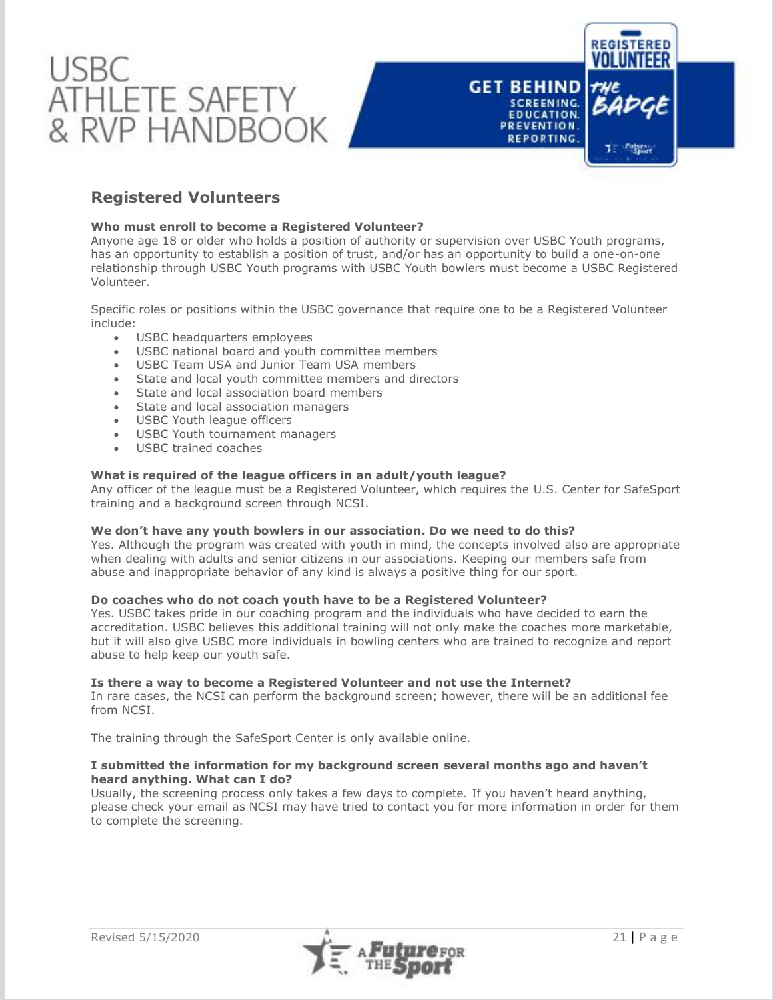

## **Registered Volunteers**

## **Who must enroll to become a Registered Volunteer?**

Anyone age 18 or older who holds a position of authority or supervision over USBC Youth programs, has an opportunity to establish a position of trust, and/or has an opportunity to build a one-on-one relationship through USBC Youth programs with USBC Youth bowlers must become a USBC Registered Volunteer.

Specific roles or positions within the USBC governance that require one to be a Registered Volunteer include:

- USBC headquarters employees
- USBC national board and youth committee members
- USBC Team USA and Junior Team USA members
- State and local youth committee members and directors
- State and local association board members
- State and local association managers • State and local association<br>• USBC Youth league officers
- 
- USBC Youth tournament managers
- USBC trained coaches

## **What is required of the league officers in an adult/youth league?**

Any officer of the league must be a Registered Volunteer, which requires the U.S. Center for SafeSport training and a background screen through NCSI.

## **We don't have any youth bowlers in our association. Do we need to do this?**

Yes. Although the program was created with youth in mind, the concepts involved also are appropriate when dealing with adults and senior citizens in our associations. Keeping our members safe from abuse and inappropriate behavior of any kind is always a positive thing for our sport.

## **Do coaches who do not coach youth have to be a Registered Volunteer?**

Yes. USBC takes pride in our coaching program and the individuals who have decided to earn the accreditation. USBC believes this additional training will not only make the coaches more marketable, but it will also give USBC more individuals in bowling centers who are trained to recognize and report abuse to help keep our youth safe.

## **Is there a way to become a Registered Volunteer and not use the Internet?**

In rare cases, the NCSI can perform the background screen; however, there will be an additional fee from NCSI.

The training through the SafeSport Center is only available online.

## **I submitted the information for my background screen several months ago and haven't heard anything. What can I do?**

Usually, the screening process only takes a few days to complete. If you haven't heard anything, please check your email as NCSI may have tried to contact you for more information in order for them to complete the screening.

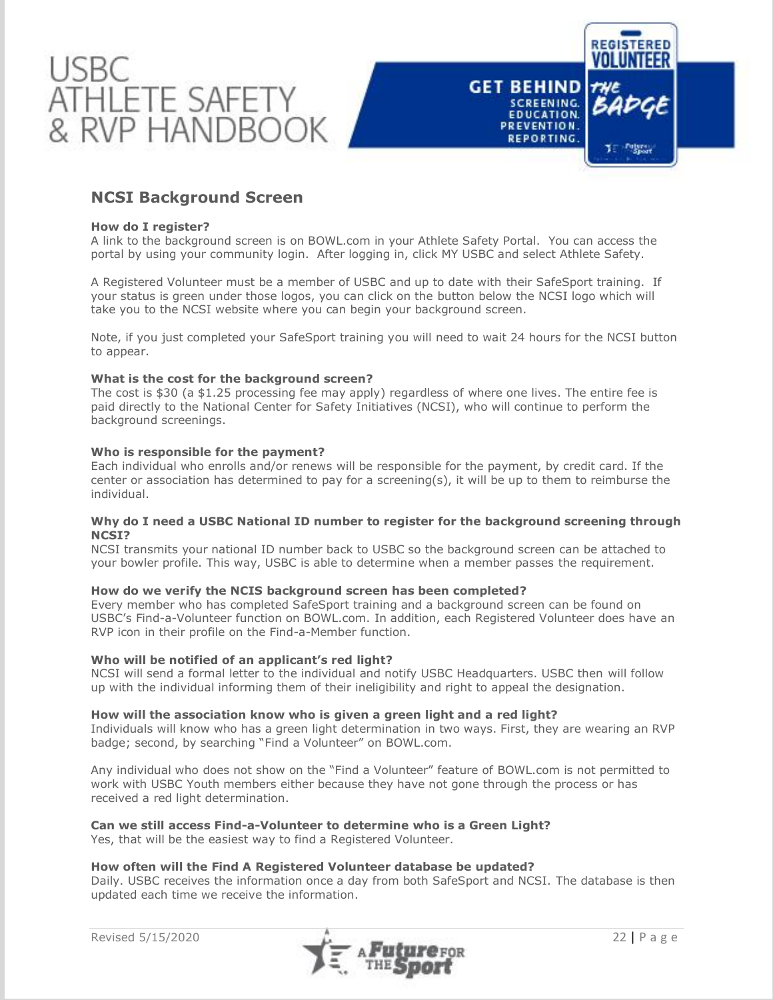

## **NCSI Background Screen**

## **How do I register?**

A link to the background screen is on BOWL.com in your Athlete Safety Portal. You can access the portal by using your community login. After logging in, click MY USBC and select Athlete Safety.

A Registered Volunteer must be a member of USBC and up to date with their SafeSport training. If your status is green under those logos, you can click on the button below the NCSI logo which will take you to the NCSI website where you can begin your background screen.

Note, if you just completed your SafeSport training you will need to wait 24 hours for the NCSI button to appear.

## **What is the cost for the background screen?**

The cost is \$30 (a \$1.25 processing fee may apply) regardless of where one lives. The entire fee is paid directly to the National Center for Safety Initiatives (NCSI), who will continue to perform the background screenings.

## **Who is responsible for the payment?**

Each individual who enrolls and/or renews will be responsible for the payment, by credit card. If the center or association has determined to pay for a screening(s), it will be up to them to reimburse the individual.

## **Why do I need a USBC National ID number to register for the background screening through NCSI?**

NCSI transmits your national ID number back to USBC so the background screen can be attached to your bowler profile. This way, USBC is able to determine when a member passes the requirement.

## **How do we verify the NCIS background screen has been completed?**

Every member who has completed SafeSport training and a background screen can be found on USBC's Find-a-Volunteer function on BOWL.com. In addition, each Registered Volunteer does have an RVP icon in their profile on the Find-a-Member function.

## **Who will be notified of an applicant's red light?**

NCSI will send a formal letter to the individual and notify USBC Headquarters. USBC then will follow up with the individual informing them of their ineligibility and right to appeal the designation.

#### **How will the association know who is given a green light and a red light?**

Individuals will know who has a green light determination in two ways. First, they are wearing an RVP badge; second, by searching "Find a Volunteer" on BOWL.com.

Any individual who does not show on the "Find a Volunteer" feature of BOWL.com is not permitted to work with USBC Youth members either because they have not gone through the process or has received a red light determination.

## **Can we still access Find-a-Volunteer to determine who is a Green Light?**

Yes, that will be the easiest way to find a Registered Volunteer.

#### **How often will the Find A Registered Volunteer database be updated?**

Daily. USBC receives the information once a day from both SafeSport and NCSI. The database is then updated each time we receive the information.

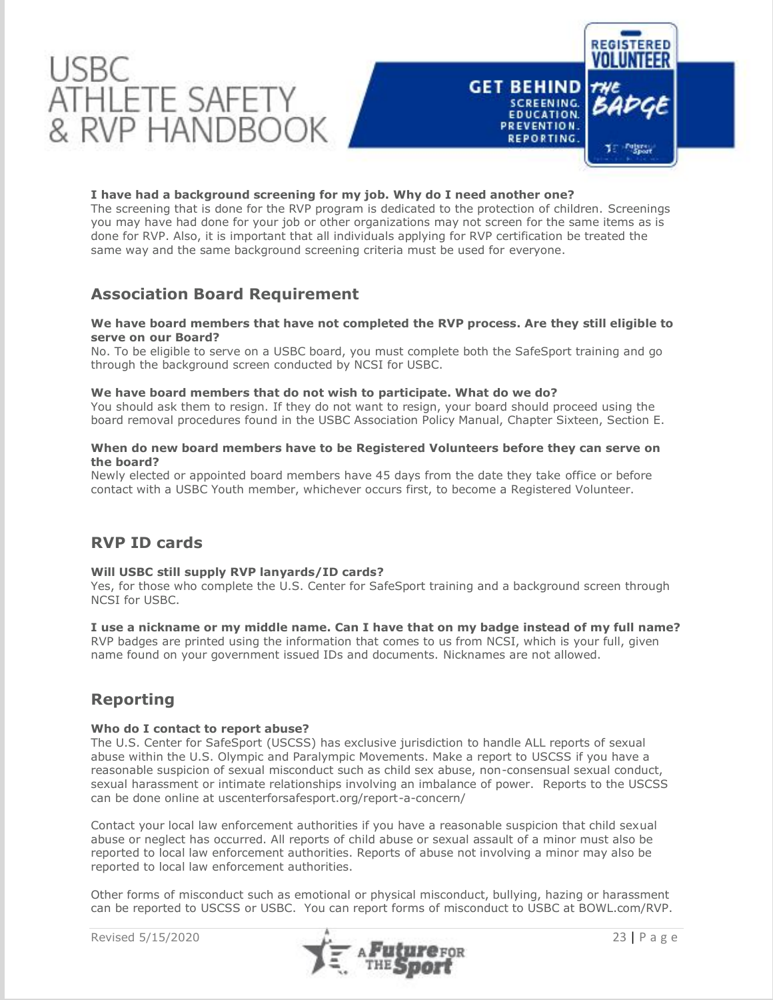

## **I have had a background screening for my job. Why do I need another one?**

The screening that is done for the RVP program is dedicated to the protection of children. Screenings you may have had done for your job or other organizations may not screen for the same items as is done for RVP. Also, it is important that all individuals applying for RVP certification be treated the same way and the same background screening criteria must be used for everyone.

## **Association Board Requirement**

## **We have board members that have not completed the RVP process. Are they still eligible to serve on our Board?**

No. To be eligible to serve on a USBC board, you must complete both the SafeSport training and go through the background screen conducted by NCSI for USBC.

## **We have board members that do not wish to participate. What do we do?**

You should ask them to resign. If they do not want to resign, your board should proceed using the board removal procedures found in the USBC Association Policy Manual, Chapter Sixteen, Section E.

## **When do new board members have to be Registered Volunteers before they can serve on the board?**

Newly elected or appointed board members have 45 days from the date they take office or before contact with a USBC Youth member, whichever occurs first, to become a Registered Volunteer.

## **RVP ID cards**

## **Will USBC still supply RVP lanyards/ID cards?**

Yes, for those who complete the U.S. Center for SafeSport training and a background screen through NCSI for USBC.

## **I use a nickname or my middle name. Can I have that on my badge instead of my full name?**

RVP badges are printed using the information that comes to us from NCSI, which is your full, given name found on your government issued IDs and documents. Nicknames are not allowed.

## **Reporting**

## **Who do I contact to report abuse?**

The U.S. Center for SafeSport (USCSS) has exclusive jurisdiction to handle ALL reports of sexual abuse within the U.S. Olympic and Paralympic Movements. Make a report to USCSS if you have a reasonable suspicion of sexual misconduct such as child sex abuse, non-consensual sexual conduct, sexual harassment or intimate relationships involving an imbalance of power. Reports to the USCSS can be done online at uscenterforsafesport.org/report-a-concern/

Contact your local law enforcement authorities if you have a reasonable suspicion that child sexual abuse or neglect has occurred. All reports of child abuse or sexual assault of a minor must also be reported to local law enforcement authorities. Reports of abuse not involving a minor may also be reported to local law enforcement authorities.

Other forms of misconduct such as emotional or physical misconduct, bullying, hazing or harassment can be reported to USCSS or USBC. You can report forms of misconduct to USBC at BOWL.com/RVP.

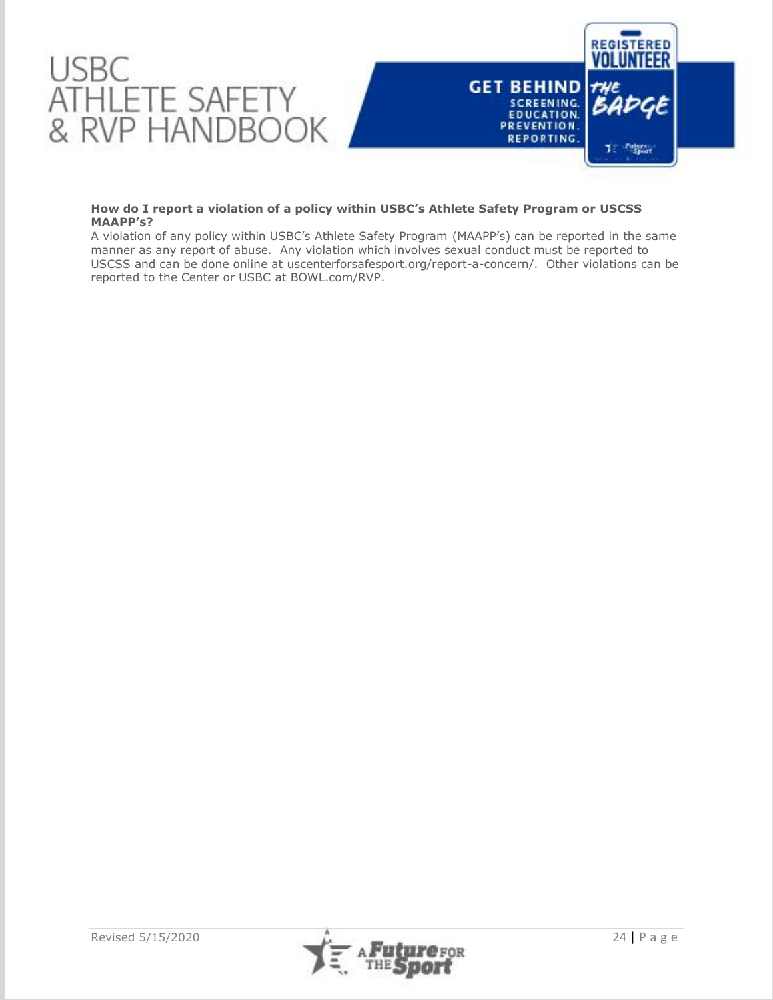

## **How do I report a violation of a policy within USBC's Athlete Safety Program or USCSS MAAPP's?**

A violation of any policy within USBC's Athlete Safety Program (MAAPP's) can be reported in the same manner as any report of abuse. Any violation which involves sexual conduct must be reported to USCSS and can be done online at uscenterforsafesport.org/report-a-concern/. Other violations can be reported to the Center or USBC at BOWL.com/RVP.

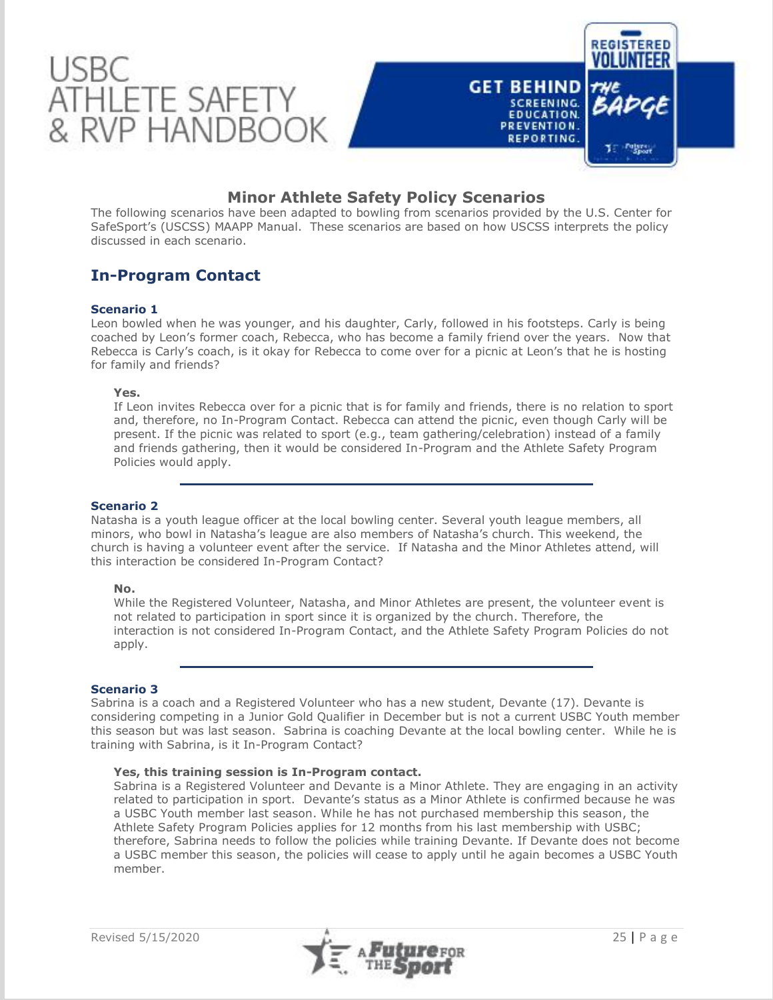

## **Minor Athlete Safety Policy Scenarios**

The following scenarios have been adapted to bowling from scenarios provided by the U.S. Center for SafeSport's (USCSS) MAAPP Manual. These scenarios are based on how USCSS interprets the policy discussed in each scenario.

# **In-Program Contact**

## **Scenario 1**

Leon bowled when he was younger, and his daughter, Carly, followed in his footsteps. Carly is being coached by Leon's former coach, Rebecca, who has become a family friend over the years. Now that Rebecca is Carly's coach, is it okay for Rebecca to come over for a picnic at Leon's that he is hosting for family and friends?

## **Yes.**

If Leon invites Rebecca over for a picnic that is for family and friends, there is no relation to sport and, therefore, no In-Program Contact. Rebecca can attend the picnic, even though Carly will be present. If the picnic was related to sport (e.g., team gathering/celebration) instead of a family and friends gathering, then it would be considered In-Program and the Athlete Safety Program Policies would apply.

## **Scenario 2**

Natasha is a youth league officer at the local bowling center. Several youth league members, all minors, who bowl in Natasha's league are also members of Natasha's church. This weekend, the church is having a volunteer event after the service. If Natasha and the Minor Athletes attend, will this interaction be considered In-Program Contact?

## **No.**

While the Registered Volunteer, Natasha, and Minor Athletes are present, the volunteer event is not related to participation in sport since it is organized by the church. Therefore, the interaction is not considered In-Program Contact, and the Athlete Safety Program Policies do not apply.

## **Scenario 3**

Sabrina is a coach and a Registered Volunteer who has a new student, Devante (17). Devante is considering competing in a Junior Gold Qualifier in December but is not a current USBC Youth member this season but was last season. Sabrina is coaching Devante at the local bowling center. While he is training with Sabrina, is it In-Program Contact?

## **Yes, this training session is In-Program contact.**

Sabrina is a Registered Volunteer and Devante is a Minor Athlete. They are engaging in an activity related to participation in sport. Devante's status as a Minor Athlete is confirmed because he was a USBC Youth member last season. While he has not purchased membership this season, the Athlete Safety Program Policies applies for 12 months from his last membership with USBC; therefore, Sabrina needs to follow the policies while training Devante. If Devante does not become a USBC member this season, the policies will cease to apply until he again becomes a USBC Youth member.

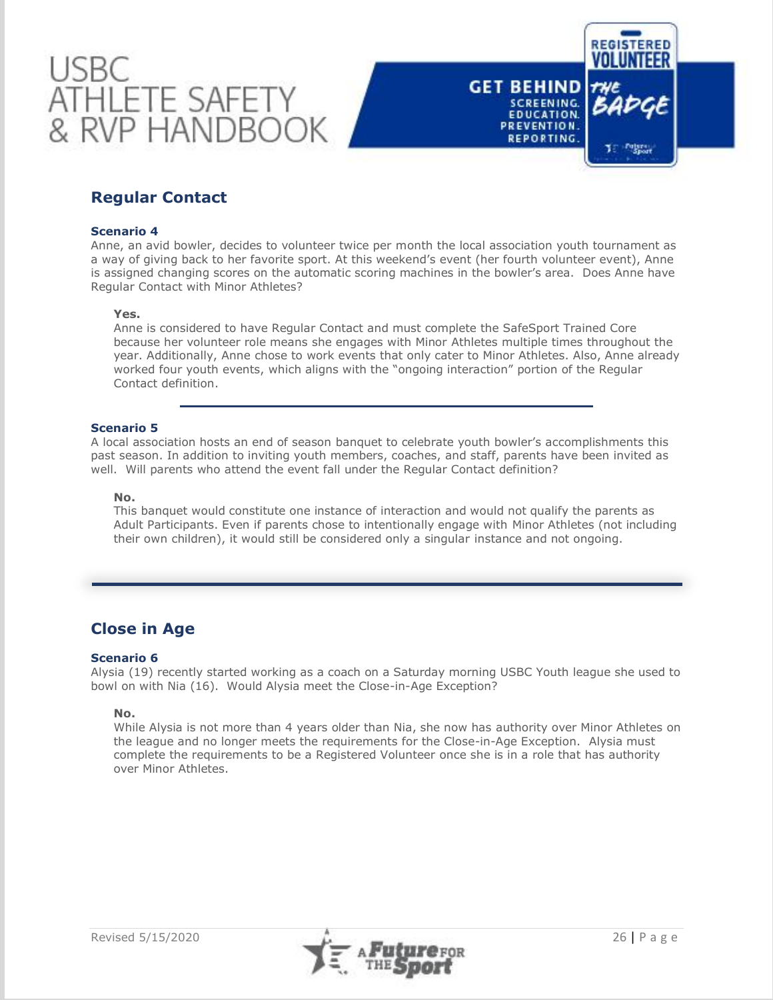



# **Regular Contact**

## **Scenario 4**

Anne, an avid bowler, decides to volunteer twice per month the local association youth tournament as a way of giving back to her favorite sport. At this weekend's event (her fourth volunteer event), Anne is assigned changing scores on the automatic scoring machines in the bowler's area. Does Anne have Regular Contact with Minor Athletes?

#### **Yes.**

Anne is considered to have Regular Contact and must complete the SafeSport Trained Core because her volunteer role means she engages with Minor Athletes multiple times throughout the year. Additionally, Anne chose to work events that only cater to Minor Athletes. Also, Anne already worked four youth events, which aligns with the "ongoing interaction" portion of the Regular Contact definition.

## **Scenario 5**

A local association hosts an end of season banquet to celebrate youth bowler's accomplishments this past season. In addition to inviting youth members, coaches, and staff, parents have been invited as well. Will parents who attend the event fall under the Regular Contact definition?

## **No.**

This banquet would constitute one instance of interaction and would not qualify the parents as Adult Participants. Even if parents chose to intentionally engage with Minor Athletes (not including their own children), it would still be considered only a singular instance and not ongoing.

## **Close in Age**

## **Scenario 6**

Alysia (19) recently started working as a coach on a Saturday morning USBC Youth league she used to bowl on with Nia (16). Would Alysia meet the Close-in-Age Exception?

## **No.**

While Alysia is not more than 4 years older than Nia, she now has authority over Minor Athletes on the league and no longer meets the requirements for the Close-in-Age Exception. Alysia must complete the requirements to be a Registered Volunteer once she is in a role that has authority over Minor Athletes.

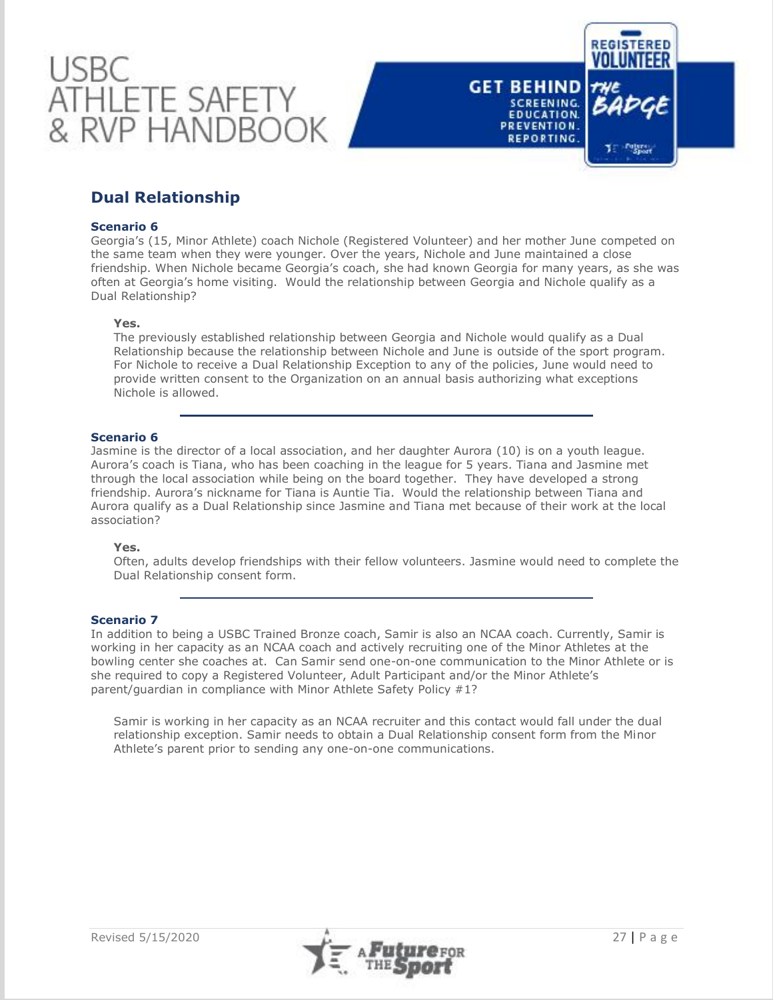



# **Dual Relationship**

## **Scenario 6**

Georgia's (15, Minor Athlete) coach Nichole (Registered Volunteer) and her mother June competed on the same team when they were younger. Over the years, Nichole and June maintained a close friendship. When Nichole became Georgia's coach, she had known Georgia for many years, as she was often at Georgia's home visiting. Would the relationship between Georgia and Nichole qualify as a Dual Relationship?

#### **Yes.**

The previously established relationship between Georgia and Nichole would qualify as a Dual Relationship because the relationship between Nichole and June is outside of the sport program. For Nichole to receive a Dual Relationship Exception to any of the policies, June would need to provide written consent to the Organization on an annual basis authorizing what exceptions Nichole is allowed.

## **Scenario 6**

Jasmine is the director of a local association, and her daughter Aurora (10) is on a youth league. Aurora's coach is Tiana, who has been coaching in the league for 5 years. Tiana and Jasmine met through the local association while being on the board together. They have developed a strong friendship. Aurora's nickname for Tiana is Auntie Tia. Would the relationship between Tiana and Aurora qualify as a Dual Relationship since Jasmine and Tiana met because of their work at the local association?

## **Yes.**

Often, adults develop friendships with their fellow volunteers. Jasmine would need to complete the Dual Relationship consent form.

## **Scenario 7**

In addition to being a USBC Trained Bronze coach, Samir is also an NCAA coach. Currently, Samir is working in her capacity as an NCAA coach and actively recruiting one of the Minor Athletes at the bowling center she coaches at. Can Samir send one-on-one communication to the Minor Athlete or is she required to copy a Registered Volunteer, Adult Participant and/or the Minor Athlete's parent/guardian in compliance with Minor Athlete Safety Policy #1?

Samir is working in her capacity as an NCAA recruiter and this contact would fall under the dual relationship exception. Samir needs to obtain a Dual Relationship consent form from the Minor Athlete's parent prior to sending any one-on-one communications.

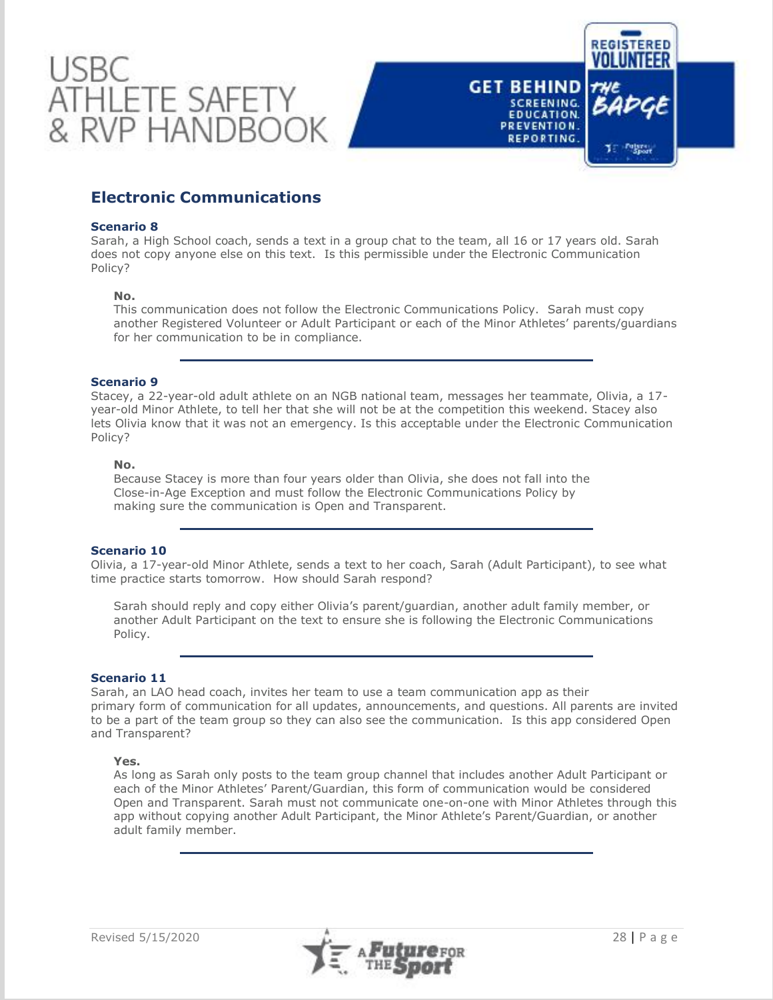



#### **Scenario 8**

Sarah, a High School coach, sends a text in a group chat to the team, all 16 or 17 years old. Sarah does not copy anyone else on this text. Is this permissible under the Electronic Communication Policy?

#### **No.**

This communication does not follow the Electronic Communications Policy. Sarah must copy another Registered Volunteer or Adult Participant or each of the Minor Athletes' parents/guardians for her communication to be in compliance.

## **Scenario 9**

Stacey, a 22-year-old adult athlete on an NGB national team, messages her teammate, Olivia, a 17 year-old Minor Athlete, to tell her that she will not be at the competition this weekend. Stacey also lets Olivia know that it was not an emergency. Is this acceptable under the Electronic Communication Policy?

## **No.**

Because Stacey is more than four years older than Olivia, she does not fall into the Close-in-Age Exception and must follow the Electronic Communications Policy by making sure the communication is Open and Transparent.

## **Scenario 10**

Olivia, a 17-year-old Minor Athlete, sends a text to her coach, Sarah (Adult Participant), to see what time practice starts tomorrow. How should Sarah respond?

Sarah should reply and copy either Olivia's parent/guardian, another adult family member, or another Adult Participant on the text to ensure she is following the Electronic Communications Policy.

#### **Scenario 11**

Sarah, an LAO head coach, invites her team to use a team communication app as their primary form of communication for all updates, announcements, and questions. All parents are invited to be a part of the team group so they can also see the communication. Is this app considered Open and Transparent?

#### **Yes.**

As long as Sarah only posts to the team group channel that includes another Adult Participant or each of the Minor Athletes' Parent/Guardian, this form of communication would be considered Open and Transparent. Sarah must not communicate one-on-one with Minor Athletes through this app without copying another Adult Participant, the Minor Athlete's Parent/Guardian, or another adult family member.



**REGISTERED** 

Te Pulses

**GET BEHIND** 

SCREENING. **EDUCATION.** 

PREVENTION. REPORTING.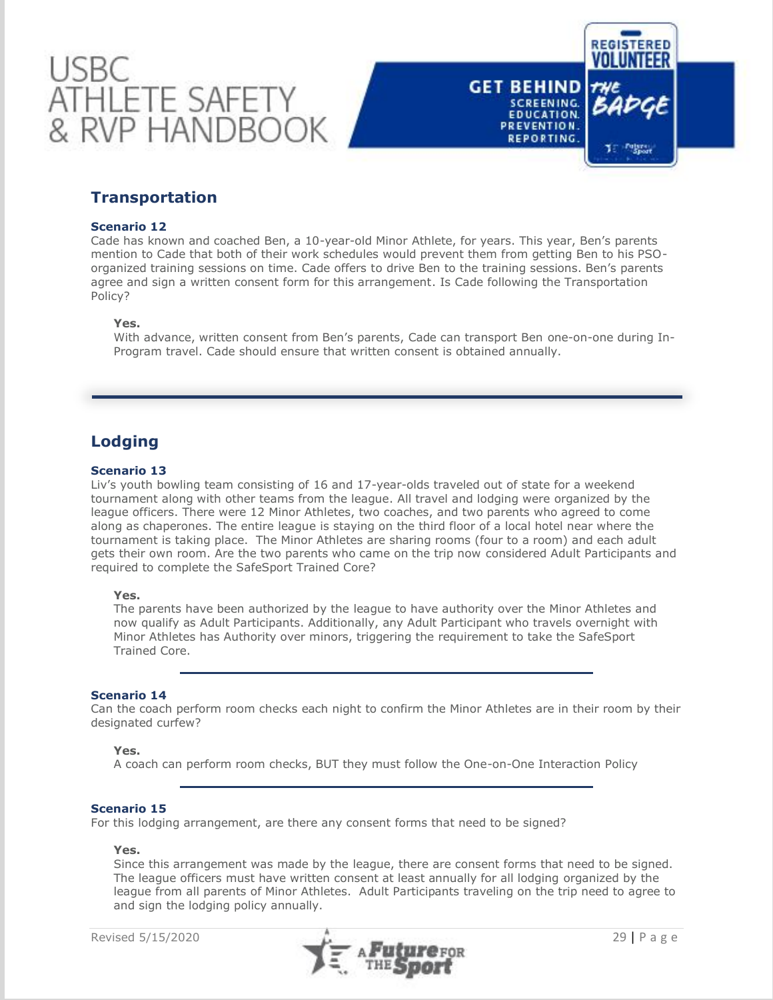



## **Transportation**

## **Scenario 12**

Cade has known and coached Ben, a 10-year-old Minor Athlete, for years. This year, Ben's parents mention to Cade that both of their work schedules would prevent them from getting Ben to his PSOorganized training sessions on time. Cade offers to drive Ben to the training sessions. Ben's parents agree and sign a written consent form for this arrangement. Is Cade following the Transportation Policy?

## **Yes.**

With advance, written consent from Ben's parents, Cade can transport Ben one-on-one during In-Program travel. Cade should ensure that written consent is obtained annually.

## **Lodging**

## **Scenario 13**

Liv's youth bowling team consisting of 16 and 17-year-olds traveled out of state for a weekend tournament along with other teams from the league. All travel and lodging were organized by the league officers. There were 12 Minor Athletes, two coaches, and two parents who agreed to come along as chaperones. The entire league is staying on the third floor of a local hotel near where the tournament is taking place. The Minor Athletes are sharing rooms (four to a room) and each adult gets their own room. Are the two parents who came on the trip now considered Adult Participants and required to complete the SafeSport Trained Core?

#### **Yes.**

The parents have been authorized by the league to have authority over the Minor Athletes and now qualify as Adult Participants. Additionally, any Adult Participant who travels overnight with Minor Athletes has Authority over minors, triggering the requirement to take the SafeSport Trained Core.

## **Scenario 14**

Can the coach perform room checks each night to confirm the Minor Athletes are in their room by their designated curfew?

## **Yes.**

A coach can perform room checks, BUT they must follow the One-on-One Interaction Policy

## **Scenario 15**

For this lodging arrangement, are there any consent forms that need to be signed?

#### **Yes.**

Since this arrangement was made by the league, there are consent forms that need to be signed. The league officers must have written consent at least annually for all lodging organized by the league from all parents of Minor Athletes. Adult Participants traveling on the trip need to agree to and sign the lodging policy annually.

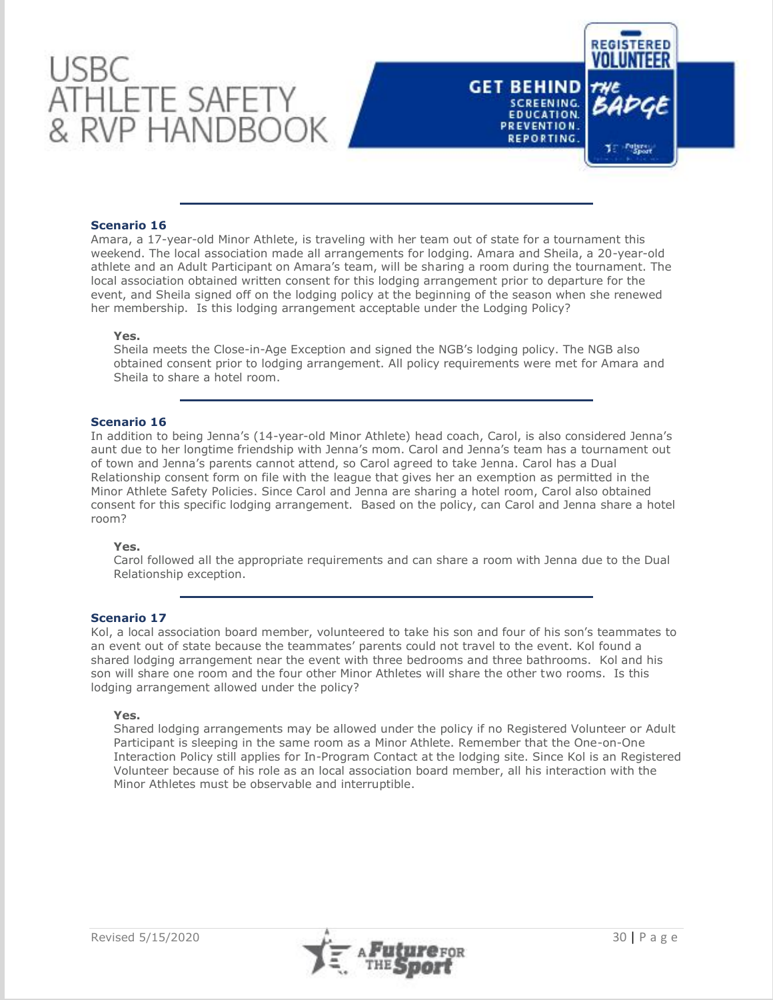



## **Scenario 16**

Amara, a 17-year-old Minor Athlete, is traveling with her team out of state for a tournament this weekend. The local association made all arrangements for lodging. Amara and Sheila, a 20-year-old athlete and an Adult Participant on Amara's team, will be sharing a room during the tournament. The local association obtained written consent for this lodging arrangement prior to departure for the event, and Sheila signed off on the lodging policy at the beginning of the season when she renewed her membership. Is this lodging arrangement acceptable under the Lodging Policy?

#### **Yes.**

Sheila meets the Close-in-Age Exception and signed the NGB's lodging policy. The NGB also obtained consent prior to lodging arrangement. All policy requirements were met for Amara and Sheila to share a hotel room.

#### **Scenario 16**

In addition to being Jenna's (14-year-old Minor Athlete) head coach, Carol, is also considered Jenna's aunt due to her longtime friendship with Jenna's mom. Carol and Jenna's team has a tournament out of town and Jenna's parents cannot attend, so Carol agreed to take Jenna. Carol has a Dual Relationship consent form on file with the league that gives her an exemption as permitted in the Minor Athlete Safety Policies. Since Carol and Jenna are sharing a hotel room, Carol also obtained consent for this specific lodging arrangement. Based on the policy, can Carol and Jenna share a hotel room?

#### **Yes.**

Carol followed all the appropriate requirements and can share a room with Jenna due to the Dual Relationship exception.

#### **Scenario 17**

Kol, a local association board member, volunteered to take his son and four of his son's teammates to an event out of state because the teammates' parents could not travel to the event. Kol found a shared lodging arrangement near the event with three bedrooms and three bathrooms. Kol and his son will share one room and the four other Minor Athletes will share the other two rooms. Is this lodging arrangement allowed under the policy?

#### **Yes.**

Shared lodging arrangements may be allowed under the policy if no Registered Volunteer or Adult Participant is sleeping in the same room as a Minor Athlete. Remember that the One-on-One Interaction Policy still applies for In-Program Contact at the lodging site. Since Kol is an Registered Volunteer because of his role as an local association board member, all his interaction with the Minor Athletes must be observable and interruptible.

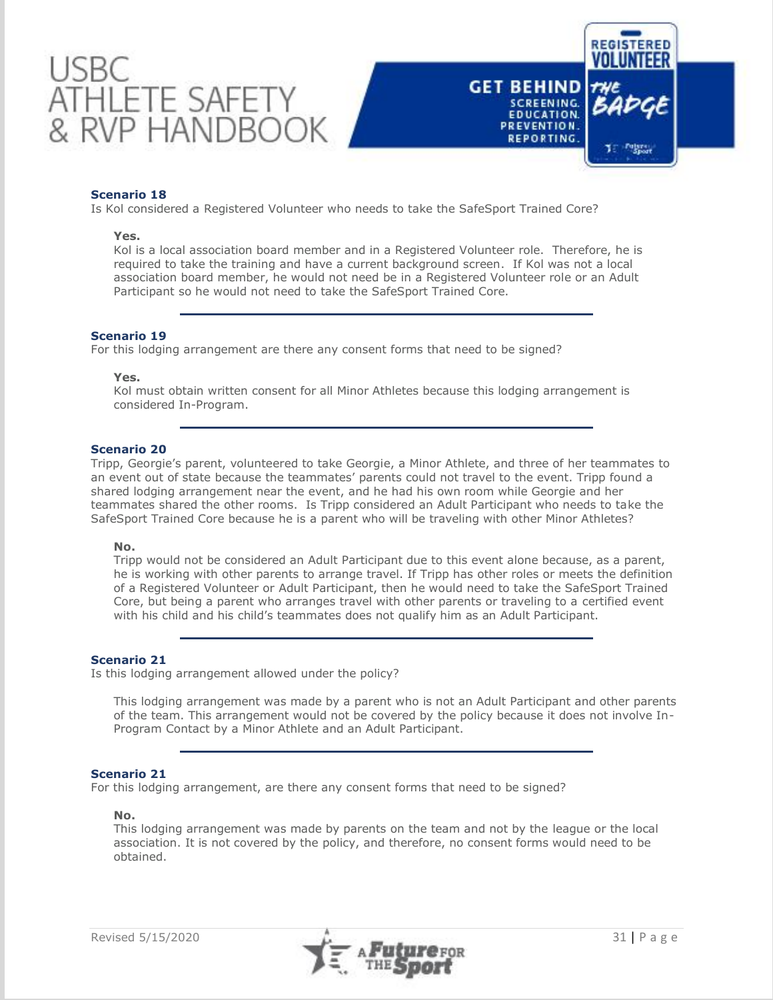



## **Scenario 18**

Is Kol considered a Registered Volunteer who needs to take the SafeSport Trained Core?

#### **Yes.**

Kol is a local association board member and in a Registered Volunteer role. Therefore, he is required to take the training and have a current background screen. If Kol was not a local association board member, he would not need be in a Registered Volunteer role or an Adult Participant so he would not need to take the SafeSport Trained Core.

## **Scenario 19**

For this lodging arrangement are there any consent forms that need to be signed?

#### **Yes.**

Kol must obtain written consent for all Minor Athletes because this lodging arrangement is considered In-Program.

## **Scenario 20**

Tripp, Georgie's parent, volunteered to take Georgie, a Minor Athlete, and three of her teammates to an event out of state because the teammates' parents could not travel to the event. Tripp found a shared lodging arrangement near the event, and he had his own room while Georgie and her teammates shared the other rooms. Is Tripp considered an Adult Participant who needs to take the SafeSport Trained Core because he is a parent who will be traveling with other Minor Athletes?

#### **No.**

Tripp would not be considered an Adult Participant due to this event alone because, as a parent, he is working with other parents to arrange travel. If Tripp has other roles or meets the definition of a Registered Volunteer or Adult Participant, then he would need to take the SafeSport Trained Core, but being a parent who arranges travel with other parents or traveling to a certified event with his child and his child's teammates does not qualify him as an Adult Participant.

## **Scenario 21**

Is this lodging arrangement allowed under the policy?

This lodging arrangement was made by a parent who is not an Adult Participant and other parents of the team. This arrangement would not be covered by the policy because it does not involve In-Program Contact by a Minor Athlete and an Adult Participant.

#### **Scenario 21**

For this lodging arrangement, are there any consent forms that need to be signed?

#### **No.**

This lodging arrangement was made by parents on the team and not by the league or the local association. It is not covered by the policy, and therefore, no consent forms would need to be obtained.

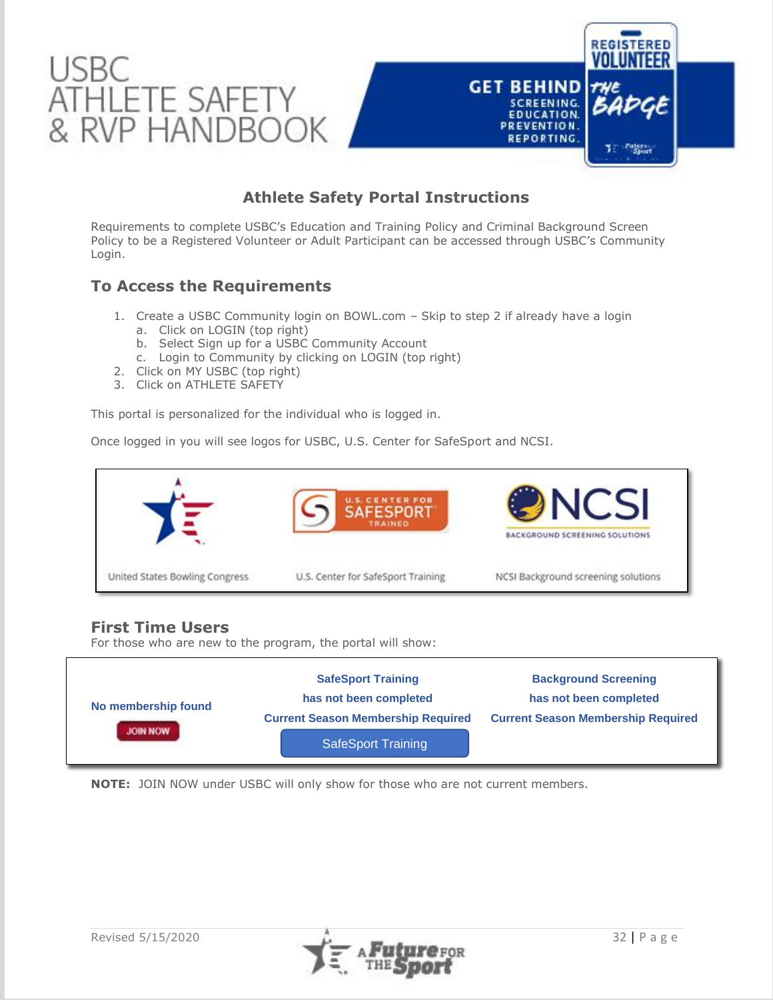

# **Athlete Safety Portal Instructions**

Requirements to complete USBC's Education and Training Policy and Criminal Background Screen Policy to be a Registered Volunteer or Adult Participant can be accessed through USBC's Community Login.

## **To Access the Requirements**

- 1. Create a USBC Community login on BOWL.com Skip to step 2 if already have a login
	- a. Click on LOGIN (top right)
	- b. Select Sign up for a USBC Community Account
	- c. Login to Community by clicking on LOGIN (top right)
- 2. Click on MY USBC (top right)
- 3. Click on ATHLETE SAFETY

This portal is personalized for the individual who is logged in.

Once logged in you will see logos for USBC, U.S. Center for SafeSport and NCSI.



## **First Time Users**

For those who are new to the program, the portal will show:



**NOTE:** JOIN NOW under USBC will only show for those who are not current members.

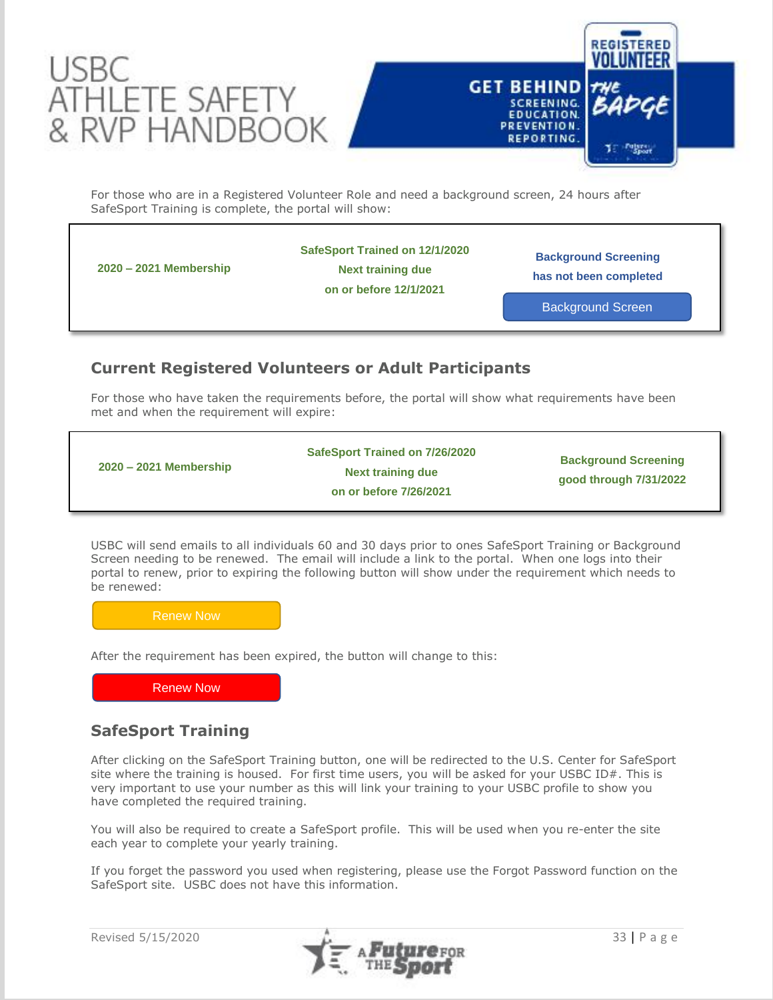

![](_page_33_Picture_1.jpeg)

For those who are in a Registered Volunteer Role and need a background screen, 24 hours after SafeSport Training is complete, the portal will show:

**2020 – 2021 Membership**

**SafeSport Trained on 12/1/2020**

**Next training due**

**on or before 12/1/2021**

**Background Screening has not been completed**

Background Screen

# **Current Registered Volunteers or Adult Participants**

For those who have taken the requirements before, the portal will show what requirements have been met and when the requirement will expire:

| SafeSport Trained on 7/26/2020<br>$2020 - 2021$ Membership<br>Next training due<br>on or before 7/26/2021 | <b>Background Screening</b><br>good through 7/31/2022 |
|-----------------------------------------------------------------------------------------------------------|-------------------------------------------------------|
|-----------------------------------------------------------------------------------------------------------|-------------------------------------------------------|

USBC will send emails to all individuals 60 and 30 days prior to ones SafeSport Training or Background Screen needing to be renewed. The email will include a link to the portal. When one logs into their portal to renew, prior to expiring the following button will show under the requirement which needs to be renewed:

Renew Now

After the requirement has been expired, the button will change to this:

Renew Now

# **SafeSport Training**

After clicking on the SafeSport Training button, one will be redirected to the U.S. Center for SafeSport site where the training is housed. For first time users, you will be asked for your USBC ID#. This is very important to use your number as this will link your training to your USBC profile to show you have completed the required training.

You will also be required to create a SafeSport profile. This will be used when you re-enter the site each year to complete your yearly training.

If you forget the password you used when registering, please use the Forgot Password function on the SafeSport site. USBC does not have this information.

![](_page_33_Picture_21.jpeg)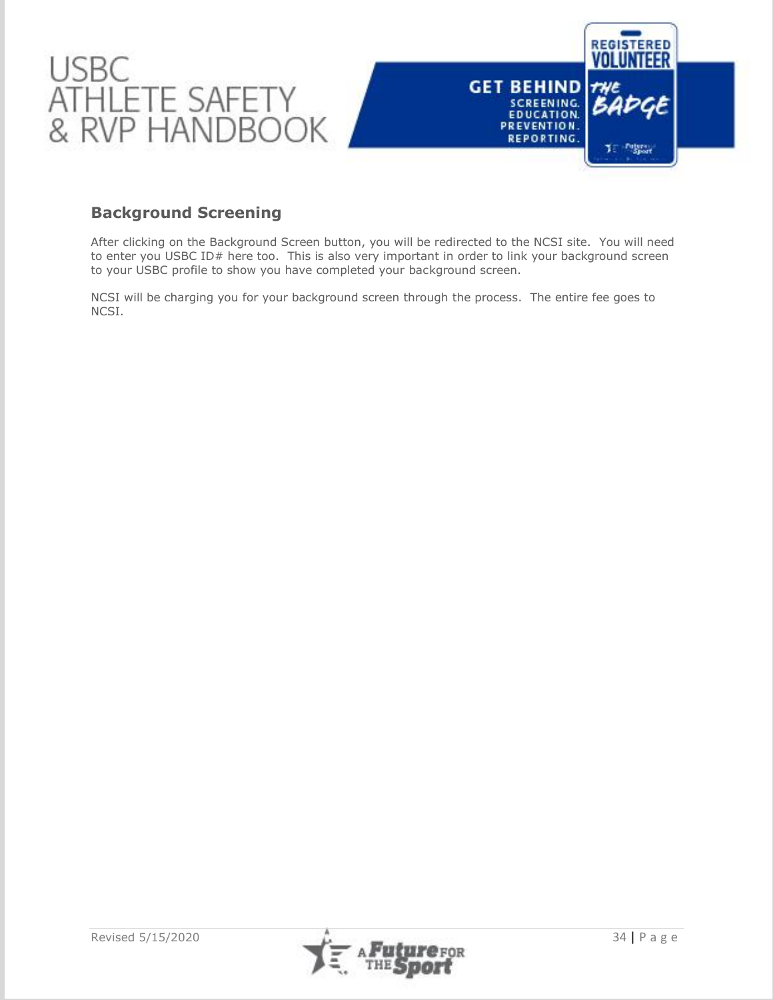![](_page_34_Picture_0.jpeg)

## **Background Screening**

After clicking on the Background Screen button, you will be redirected to the NCSI site. You will need to enter you USBC ID# here too. This is also very important in order to link your background screen to your USBC profile to show you have completed your background screen.

NCSI will be charging you for your background screen through the process. The entire fee goes to NCSI.

![](_page_34_Picture_5.jpeg)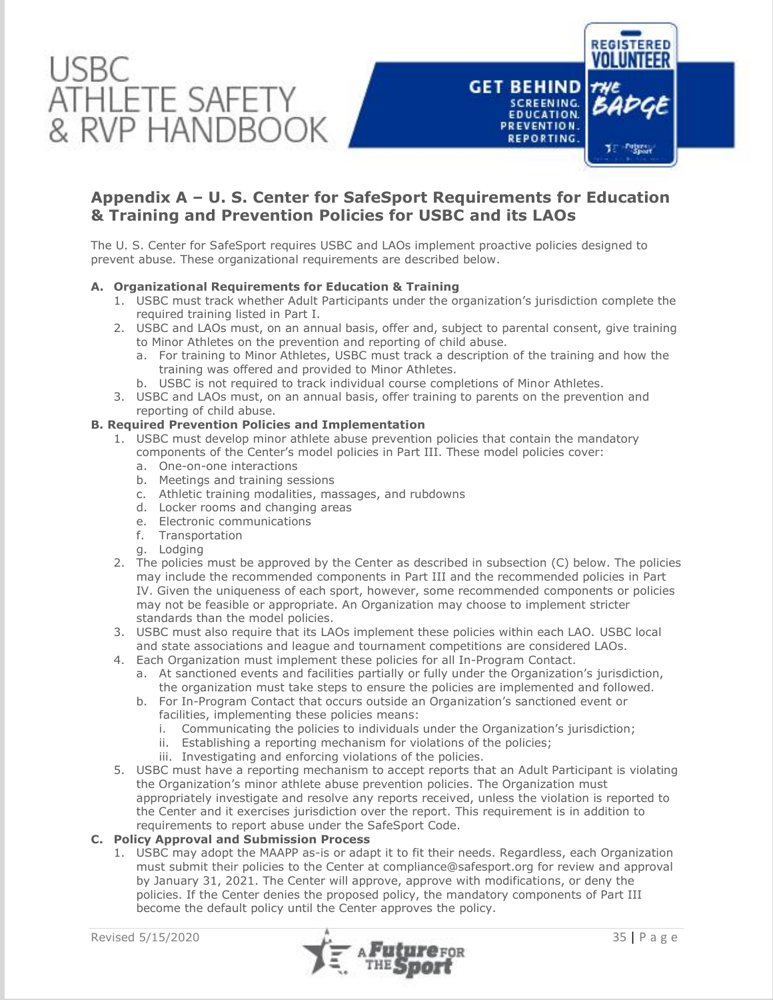![](_page_35_Picture_0.jpeg)

## **Appendix A – U. S. Center for SafeSport Requirements for Education & Training and Prevention Policies for USBC and its LAOs**

The U. S. Center for SafeSport requires USBC and LAOs implement proactive policies designed to prevent abuse. These organizational requirements are described below.

## **A. Organizational Requirements for Education & Training**

- 1. USBC must track whether Adult Participants under the organization's jurisdiction complete the required training listed in Part I.
- 2. USBC and LAOs must, on an annual basis, offer and, subject to parental consent, give training to Minor Athletes on the prevention and reporting of child abuse.
	- a. For training to Minor Athletes, USBC must track a description of the training and how the training was offered and provided to Minor Athletes.
	- b. USBC is not required to track individual course completions of Minor Athletes.
- 3. USBC and LAOs must, on an annual basis, offer training to parents on the prevention and reporting of child abuse.

## **B. Required Prevention Policies and Implementation**

- 1. USBC must develop minor athlete abuse prevention policies that contain the mandatory components of the Center's model policies in Part III. These model policies cover:
	- a. One-on-one interactions
	- b. Meetings and training sessions
	- c. Athletic training modalities, massages, and rubdowns
	- d. Locker rooms and changing areas
	- e. Electronic communications
	- f. Transportation
	- g. Lodging
- 2. The policies must be approved by the Center as described in subsection (C) below. The policies may include the recommended components in Part III and the recommended policies in Part IV. Given the uniqueness of each sport, however, some recommended components or policies may not be feasible or appropriate. An Organization may choose to implement stricter standards than the model policies.
- 3. USBC must also require that its LAOs implement these policies within each LAO. USBC local and state associations and league and tournament competitions are considered LAOs.
- 4. Each Organization must implement these policies for all In-Program Contact.
	- a. At sanctioned events and facilities partially or fully under the Organization's jurisdiction, the organization must take steps to ensure the policies are implemented and followed.
	- b. For In-Program Contact that occurs outside an Organization's sanctioned event or facilities, implementing these policies means:
		- i. Communicating the policies to individuals under the Organization's jurisdiction;
		- ii. Establishing a reporting mechanism for violations of the policies;
		- iii. Investigating and enforcing violations of the policies.
- 5. USBC must have a reporting mechanism to accept reports that an Adult Participant is violating the Organization's minor athlete abuse prevention policies. The Organization must appropriately investigate and resolve any reports received, unless the violation is reported to the Center and it exercises jurisdiction over the report. This requirement is in addition to requirements to report abuse under the SafeSport Code.

## **C. Policy Approval and Submission Process**

1. USBC may adopt the MAAPP as-is or adapt it to fit their needs. Regardless, each Organization must submit their policies to the Center at compliance@safesport.org for review and approval by January 31, 2021. The Center will approve, approve with modifications, or deny the policies. If the Center denies the proposed policy, the mandatory components of Part III become the default policy until the Center approves the policy.

![](_page_35_Picture_30.jpeg)